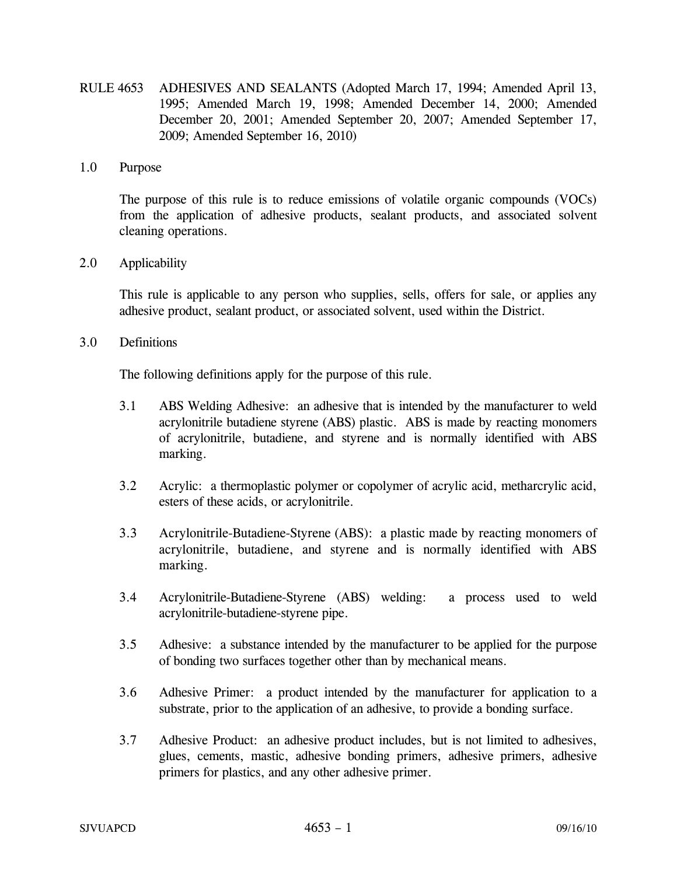RULE 4653 ADHESIVES AND SEALANTS (Adopted March 17, 1994; Amended April 13, 1995; Amended March 19, 1998; Amended December 14, 2000; Amended December 20, 2001; Amended September 20, 2007; Amended September 17, 2009; Amended September 16, 2010)

#### 1.0 Purpose

The purpose of this rule is to reduce emissions of volatile organic compounds (VOCs) from the application of adhesive products, sealant products, and associated solvent cleaning operations.

### 2.0 Applicability

 This rule is applicable to any person who supplies, sells, offers for sale, or applies any adhesive product, sealant product, or associated solvent, used within the District.

### 3.0 Definitions

The following definitions apply for the purpose of this rule.

- 3.1 ABS Welding Adhesive: an adhesive that is intended by the manufacturer to weld acrylonitrile butadiene styrene (ABS) plastic. ABS is made by reacting monomers of acrylonitrile, butadiene, and styrene and is normally identified with ABS marking.
- 3.2 Acrylic: a thermoplastic polymer or copolymer of acrylic acid, metharcrylic acid, esters of these acids, or acrylonitrile.
- 3.3 Acrylonitrile-Butadiene-Styrene (ABS): a plastic made by reacting monomers of acrylonitrile, butadiene, and styrene and is normally identified with ABS marking.
- 3.4 Acrylonitrile-Butadiene-Styrene (ABS) welding: a process used to weld acrylonitrile-butadiene-styrene pipe.
- 3.5 Adhesive: a substance intended by the manufacturer to be applied for the purpose of bonding two surfaces together other than by mechanical means.
- 3.6 Adhesive Primer: a product intended by the manufacturer for application to a substrate, prior to the application of an adhesive, to provide a bonding surface.
- 3.7 Adhesive Product: an adhesive product includes, but is not limited to adhesives, glues, cements, mastic, adhesive bonding primers, adhesive primers, adhesive primers for plastics, and any other adhesive primer.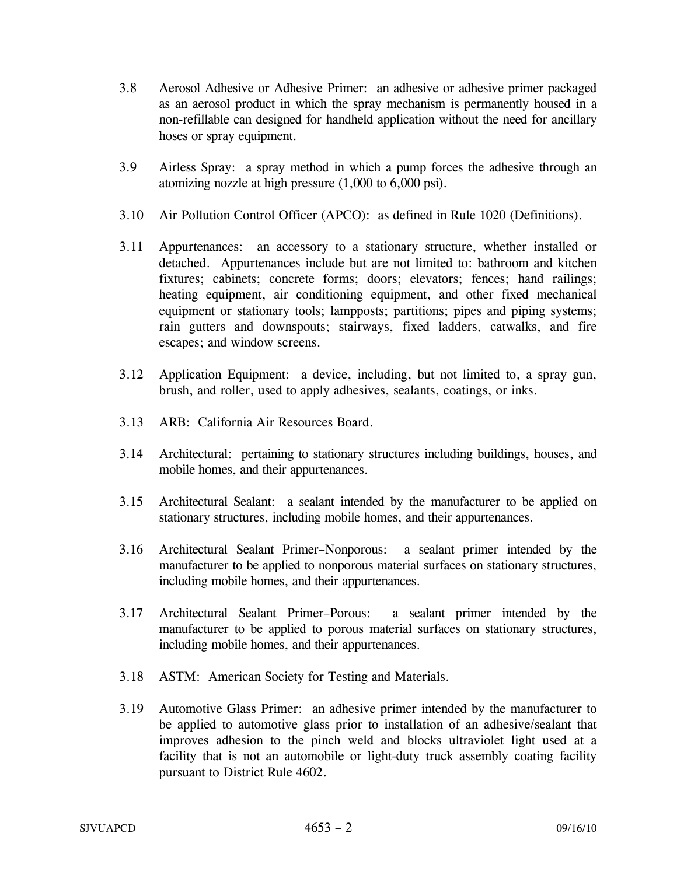- 3.8 Aerosol Adhesive or Adhesive Primer: an adhesive or adhesive primer packaged as an aerosol product in which the spray mechanism is permanently housed in a non-refillable can designed for handheld application without the need for ancillary hoses or spray equipment.
- 3.9 Airless Spray: a spray method in which a pump forces the adhesive through an atomizing nozzle at high pressure (1,000 to 6,000 psi).
- 3.10 Air Pollution Control Officer (APCO): as defined in Rule 1020 (Definitions).
- 3.11 Appurtenances: an accessory to a stationary structure, whether installed or detached. Appurtenances include but are not limited to: bathroom and kitchen fixtures; cabinets; concrete forms; doors; elevators; fences; hand railings; heating equipment, air conditioning equipment, and other fixed mechanical equipment or stationary tools; lampposts; partitions; pipes and piping systems; rain gutters and downspouts; stairways, fixed ladders, catwalks, and fire escapes; and window screens.
- 3.12 Application Equipment: a device, including, but not limited to, a spray gun, brush, and roller, used to apply adhesives, sealants, coatings, or inks.
- 3.13 ARB: California Air Resources Board.
- 3.14 Architectural: pertaining to stationary structures including buildings, houses, and mobile homes, and their appurtenances.
- 3.15 Architectural Sealant: a sealant intended by the manufacturer to be applied on stationary structures, including mobile homes, and their appurtenances.
- 3.16 Architectural Sealant Primer–Nonporous: a sealant primer intended by the manufacturer to be applied to nonporous material surfaces on stationary structures, including mobile homes, and their appurtenances.
- 3.17 Architectural Sealant Primer–Porous: a sealant primer intended by the manufacturer to be applied to porous material surfaces on stationary structures, including mobile homes, and their appurtenances.
- 3.18 ASTM: American Society for Testing and Materials.
- 3.19 Automotive Glass Primer: an adhesive primer intended by the manufacturer to be applied to automotive glass prior to installation of an adhesive/sealant that improves adhesion to the pinch weld and blocks ultraviolet light used at a facility that is not an automobile or light-duty truck assembly coating facility pursuant to District Rule 4602.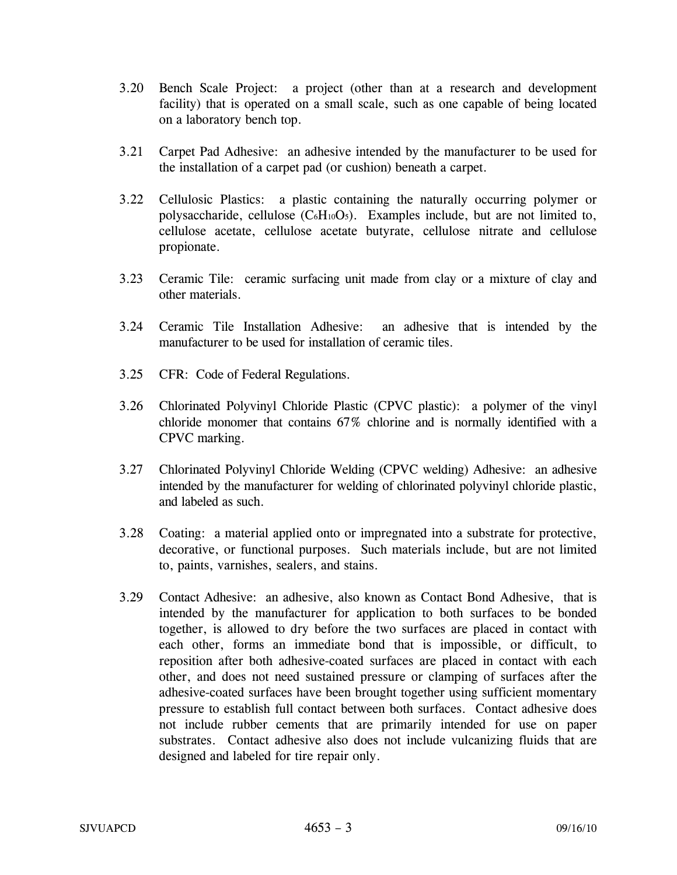- 3.20 Bench Scale Project: a project (other than at a research and development facility) that is operated on a small scale, such as one capable of being located on a laboratory bench top.
- 3.21 Carpet Pad Adhesive: an adhesive intended by the manufacturer to be used for the installation of a carpet pad (or cushion) beneath a carpet.
- 3.22 Cellulosic Plastics: a plastic containing the naturally occurring polymer or polysaccharide, cellulose  $(C_6H_{10}O_5)$ . Examples include, but are not limited to, cellulose acetate, cellulose acetate butyrate, cellulose nitrate and cellulose propionate.
- 3.23 Ceramic Tile: ceramic surfacing unit made from clay or a mixture of clay and other materials.
- 3.24 Ceramic Tile Installation Adhesive: an adhesive that is intended by the manufacturer to be used for installation of ceramic tiles.
- 3.25 CFR: Code of Federal Regulations.
- 3.26 Chlorinated Polyvinyl Chloride Plastic (CPVC plastic): a polymer of the vinyl chloride monomer that contains 67% chlorine and is normally identified with a CPVC marking.
- 3.27 Chlorinated Polyvinyl Chloride Welding (CPVC welding) Adhesive: an adhesive intended by the manufacturer for welding of chlorinated polyvinyl chloride plastic, and labeled as such.
- 3.28 Coating: a material applied onto or impregnated into a substrate for protective, decorative, or functional purposes. Such materials include, but are not limited to, paints, varnishes, sealers, and stains.
- 3.29 Contact Adhesive: an adhesive, also known as Contact Bond Adhesive, that is intended by the manufacturer for application to both surfaces to be bonded together, is allowed to dry before the two surfaces are placed in contact with each other, forms an immediate bond that is impossible, or difficult, to reposition after both adhesive-coated surfaces are placed in contact with each other, and does not need sustained pressure or clamping of surfaces after the adhesive-coated surfaces have been brought together using sufficient momentary pressure to establish full contact between both surfaces. Contact adhesive does not include rubber cements that are primarily intended for use on paper substrates. Contact adhesive also does not include vulcanizing fluids that are designed and labeled for tire repair only.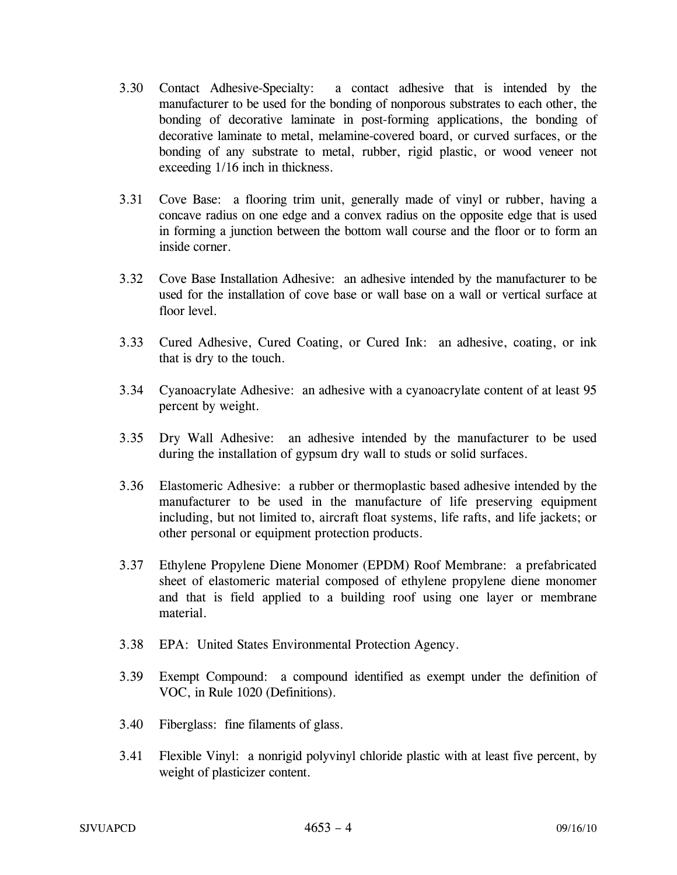- 3.30 Contact Adhesive-Specialty: a contact adhesive that is intended by the manufacturer to be used for the bonding of nonporous substrates to each other, the bonding of decorative laminate in post-forming applications, the bonding of decorative laminate to metal, melamine-covered board, or curved surfaces, or the bonding of any substrate to metal, rubber, rigid plastic, or wood veneer not exceeding 1/16 inch in thickness.
- 3.31 Cove Base: a flooring trim unit, generally made of vinyl or rubber, having a concave radius on one edge and a convex radius on the opposite edge that is used in forming a junction between the bottom wall course and the floor or to form an inside corner.
- 3.32 Cove Base Installation Adhesive: an adhesive intended by the manufacturer to be used for the installation of cove base or wall base on a wall or vertical surface at floor level.
- 3.33 Cured Adhesive, Cured Coating, or Cured Ink: an adhesive, coating, or ink that is dry to the touch.
- 3.34 Cyanoacrylate Adhesive: an adhesive with a cyanoacrylate content of at least 95 percent by weight.
- 3.35 Dry Wall Adhesive: an adhesive intended by the manufacturer to be used during the installation of gypsum dry wall to studs or solid surfaces.
- 3.36 Elastomeric Adhesive: a rubber or thermoplastic based adhesive intended by the manufacturer to be used in the manufacture of life preserving equipment including, but not limited to, aircraft float systems, life rafts, and life jackets; or other personal or equipment protection products.
- 3.37 Ethylene Propylene Diene Monomer (EPDM) Roof Membrane: a prefabricated sheet of elastomeric material composed of ethylene propylene diene monomer and that is field applied to a building roof using one layer or membrane material.
- 3.38 EPA: United States Environmental Protection Agency.
- 3.39 Exempt Compound: a compound identified as exempt under the definition of VOC, in Rule 1020 (Definitions).
- 3.40 Fiberglass: fine filaments of glass.
- 3.41 Flexible Vinyl: a nonrigid polyvinyl chloride plastic with at least five percent, by weight of plasticizer content.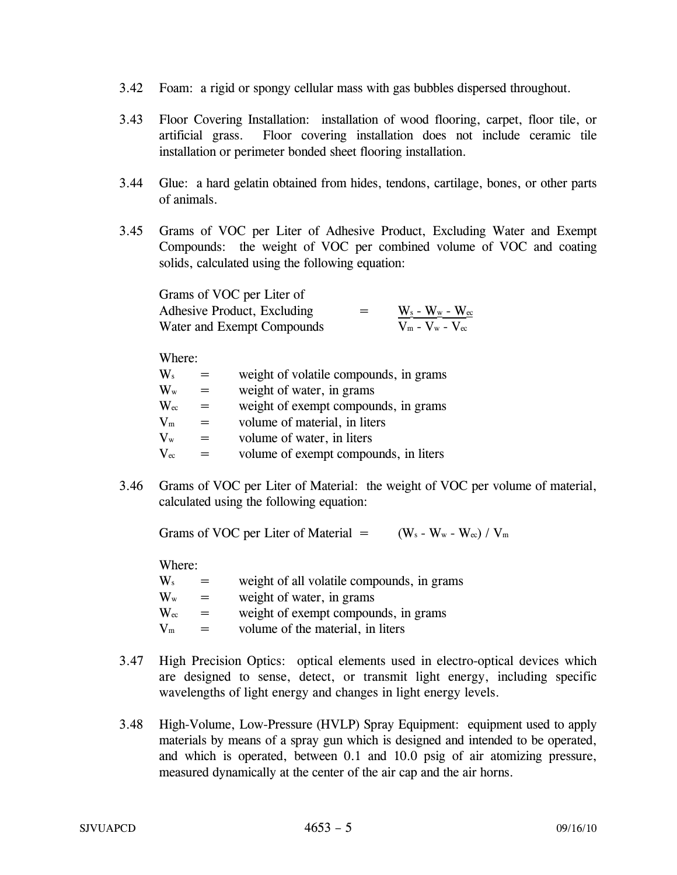- 3.42 Foam: a rigid or spongy cellular mass with gas bubbles dispersed throughout.
- 3.43 Floor Covering Installation: installation of wood flooring, carpet, floor tile, or artificial grass. Floor covering installation does not include ceramic tile installation or perimeter bonded sheet flooring installation.
- 3.44 Glue: a hard gelatin obtained from hides, tendons, cartilage, bones, or other parts of animals.
- 3.45 Grams of VOC per Liter of Adhesive Product, Excluding Water and Exempt Compounds: the weight of VOC per combined volume of VOC and coating solids, calculated using the following equation:

| Grams of VOC per Liter of   |     |                          |
|-----------------------------|-----|--------------------------|
| Adhesive Product, Excluding | $=$ | $W_s$ - $W_w$ - $W_{cc}$ |
| Water and Exempt Compounds  |     | $V_m - V_w - V_{ec}$     |

Where:

| $\mathbf{W}_\mathrm{s}$   |     | weight of volatile compounds, in grams |
|---------------------------|-----|----------------------------------------|
| $\mathbf{W}_{\mathrm{w}}$ |     | weight of water, in grams              |
| $\rm{W_{ec}}$             | $=$ | weight of exempt compounds, in grams   |
| $\rm V_m$                 | $=$ | volume of material, in liters          |
| $\rm V_w$                 | $=$ | volume of water, in liters             |
| $\rm V_{ec}$              |     | volume of exempt compounds, in liters  |

3.46 Grams of VOC per Liter of Material: the weight of VOC per volume of material, calculated using the following equation:

Grams of VOC per Liter of Material  $=$  (W<sub>s</sub> - W<sub>w</sub> - W<sub>ec</sub>) / V<sub>m</sub>

Where:

| $=$ | weight of all volatile compounds, in grams |
|-----|--------------------------------------------|
| $=$ | weight of water, in grams                  |
| $=$ | weight of exempt compounds, in grams       |
| $=$ | volume of the material, in liters          |
|     |                                            |

- 3.47 High Precision Optics: optical elements used in electro-optical devices which are designed to sense, detect, or transmit light energy, including specific wavelengths of light energy and changes in light energy levels.
- 3.48 High-Volume, Low-Pressure (HVLP) Spray Equipment: equipment used to apply materials by means of a spray gun which is designed and intended to be operated, and which is operated, between 0.1 and 10.0 psig of air atomizing pressure, measured dynamically at the center of the air cap and the air horns.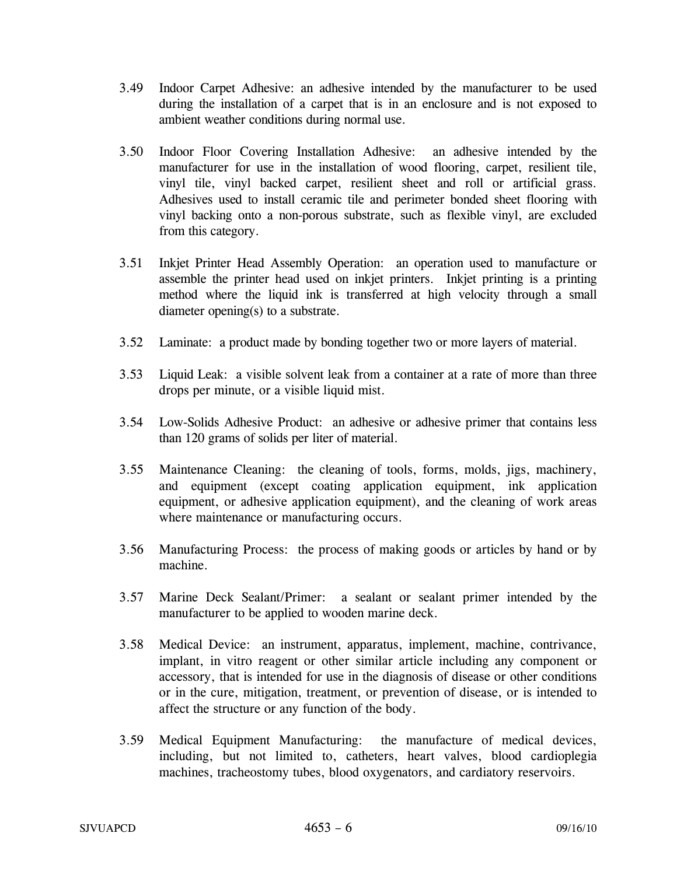- 3.49 Indoor Carpet Adhesive: an adhesive intended by the manufacturer to be used during the installation of a carpet that is in an enclosure and is not exposed to ambient weather conditions during normal use.
- 3.50 Indoor Floor Covering Installation Adhesive: an adhesive intended by the manufacturer for use in the installation of wood flooring, carpet, resilient tile, vinyl tile, vinyl backed carpet, resilient sheet and roll or artificial grass. Adhesives used to install ceramic tile and perimeter bonded sheet flooring with vinyl backing onto a non-porous substrate, such as flexible vinyl, are excluded from this category.
- 3.51 Inkjet Printer Head Assembly Operation: an operation used to manufacture or assemble the printer head used on inkjet printers. Inkjet printing is a printing method where the liquid ink is transferred at high velocity through a small diameter opening(s) to a substrate.
- 3.52 Laminate: a product made by bonding together two or more layers of material.
- 3.53 Liquid Leak: a visible solvent leak from a container at a rate of more than three drops per minute, or a visible liquid mist.
- 3.54 Low-Solids Adhesive Product: an adhesive or adhesive primer that contains less than 120 grams of solids per liter of material.
- 3.55 Maintenance Cleaning: the cleaning of tools, forms, molds, jigs, machinery, and equipment (except coating application equipment, ink application equipment, or adhesive application equipment), and the cleaning of work areas where maintenance or manufacturing occurs.
- 3.56 Manufacturing Process: the process of making goods or articles by hand or by machine.
- 3.57 Marine Deck Sealant/Primer: a sealant or sealant primer intended by the manufacturer to be applied to wooden marine deck.
- 3.58 Medical Device: an instrument, apparatus, implement, machine, contrivance, implant, in vitro reagent or other similar article including any component or accessory, that is intended for use in the diagnosis of disease or other conditions or in the cure, mitigation, treatment, or prevention of disease, or is intended to affect the structure or any function of the body.
- 3.59 Medical Equipment Manufacturing: the manufacture of medical devices, including, but not limited to, catheters, heart valves, blood cardioplegia machines, tracheostomy tubes, blood oxygenators, and cardiatory reservoirs.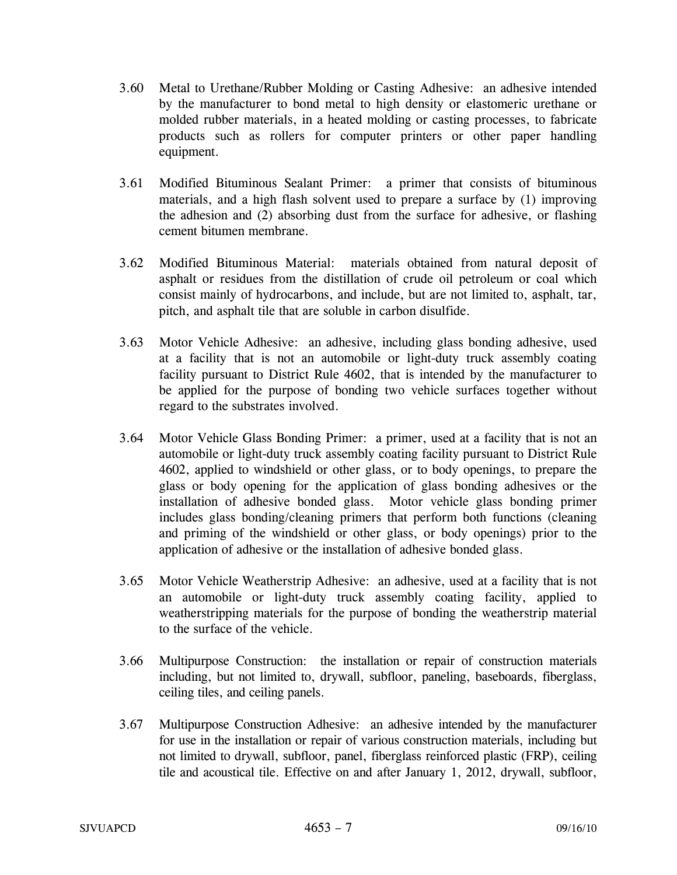- 3.60 Metal to Urethane/Rubber Molding or Casting Adhesive: an adhesive intended by the manufacturer to bond metal to high density or elastomeric urethane or molded rubber materials, in a heated molding or casting processes, to fabricate products such as rollers for computer printers or other paper handling equipment.
- 3.61 Modified Bituminous Sealant Primer: a primer that consists of bituminous materials, and a high flash solvent used to prepare a surface by (1) improving the adhesion and (2) absorbing dust from the surface for adhesive, or flashing cement bitumen membrane.
- 3.62 Modified Bituminous Material: materials obtained from natural deposit of asphalt or residues from the distillation of crude oil petroleum or coal which consist mainly of hydrocarbons, and include, but are not limited to, asphalt, tar, pitch, and asphalt tile that are soluble in carbon disulfide.
- 3.63 Motor Vehicle Adhesive: an adhesive, including glass bonding adhesive, used at a facility that is not an automobile or light-duty truck assembly coating facility pursuant to District Rule 4602, that is intended by the manufacturer to be applied for the purpose of bonding two vehicle surfaces together without regard to the substrates involved.
- 3.64 Motor Vehicle Glass Bonding Primer: a primer, used at a facility that is not an automobile or light-duty truck assembly coating facility pursuant to District Rule 4602, applied to windshield or other glass, or to body openings, to prepare the glass or body opening for the application of glass bonding adhesives or the installation of adhesive bonded glass. Motor vehicle glass bonding primer includes glass bonding/cleaning primers that perform both functions (cleaning and priming of the windshield or other glass, or body openings) prior to the application of adhesive or the installation of adhesive bonded glass.
- 3.65 Motor Vehicle Weatherstrip Adhesive: an adhesive, used at a facility that is not an automobile or light-duty truck assembly coating facility, applied to weatherstripping materials for the purpose of bonding the weatherstrip material to the surface of the vehicle.
- 3.66 Multipurpose Construction: the installation or repair of construction materials including, but not limited to, drywall, subfloor, paneling, baseboards, fiberglass, ceiling tiles, and ceiling panels.
- 3.67 Multipurpose Construction Adhesive: an adhesive intended by the manufacturer for use in the installation or repair of various construction materials, including but not limited to drywall, subfloor, panel, fiberglass reinforced plastic (FRP), ceiling tile and acoustical tile. Effective on and after January 1, 2012, drywall, subfloor,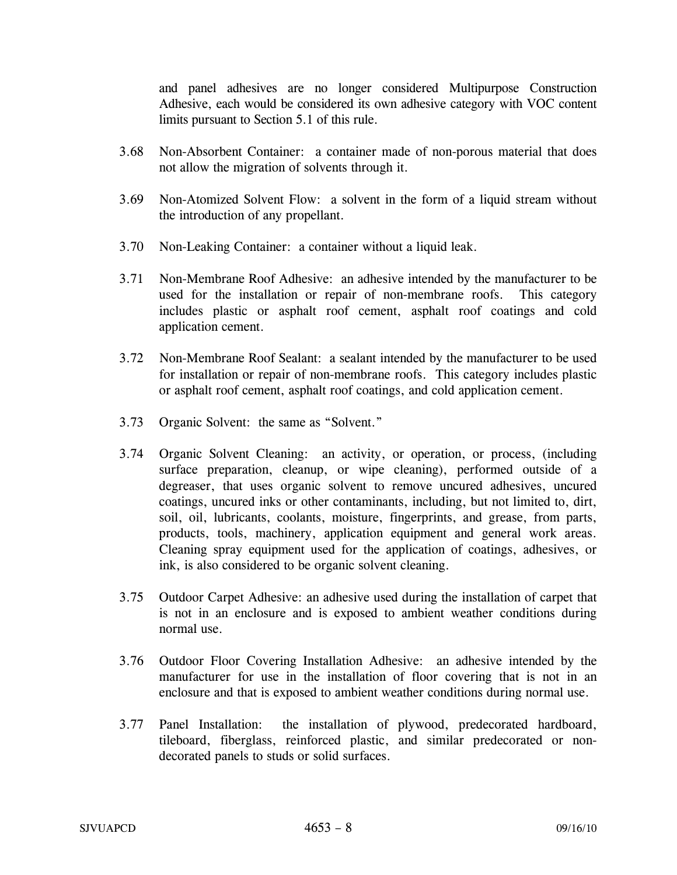and panel adhesives are no longer considered Multipurpose Construction Adhesive, each would be considered its own adhesive category with VOC content limits pursuant to Section 5.1 of this rule.

- 3.68 Non-Absorbent Container: a container made of non-porous material that does not allow the migration of solvents through it.
- 3.69 Non-Atomized Solvent Flow: a solvent in the form of a liquid stream without the introduction of any propellant.
- 3.70 Non-Leaking Container: a container without a liquid leak.
- 3.71 Non-Membrane Roof Adhesive: an adhesive intended by the manufacturer to be used for the installation or repair of non-membrane roofs. This category includes plastic or asphalt roof cement, asphalt roof coatings and cold application cement.
- 3.72 Non-Membrane Roof Sealant: a sealant intended by the manufacturer to be used for installation or repair of non-membrane roofs. This category includes plastic or asphalt roof cement, asphalt roof coatings, and cold application cement.
- 3.73 Organic Solvent: the same as "Solvent."
- 3.74 Organic Solvent Cleaning: an activity, or operation, or process, (including surface preparation, cleanup, or wipe cleaning), performed outside of a degreaser, that uses organic solvent to remove uncured adhesives, uncured coatings, uncured inks or other contaminants, including, but not limited to, dirt, soil, oil, lubricants, coolants, moisture, fingerprints, and grease, from parts, products, tools, machinery, application equipment and general work areas. Cleaning spray equipment used for the application of coatings, adhesives, or ink, is also considered to be organic solvent cleaning.
- 3.75 Outdoor Carpet Adhesive: an adhesive used during the installation of carpet that is not in an enclosure and is exposed to ambient weather conditions during normal use.
- 3.76 Outdoor Floor Covering Installation Adhesive: an adhesive intended by the manufacturer for use in the installation of floor covering that is not in an enclosure and that is exposed to ambient weather conditions during normal use.
- 3.77 Panel Installation: the installation of plywood, predecorated hardboard, tileboard, fiberglass, reinforced plastic, and similar predecorated or nondecorated panels to studs or solid surfaces.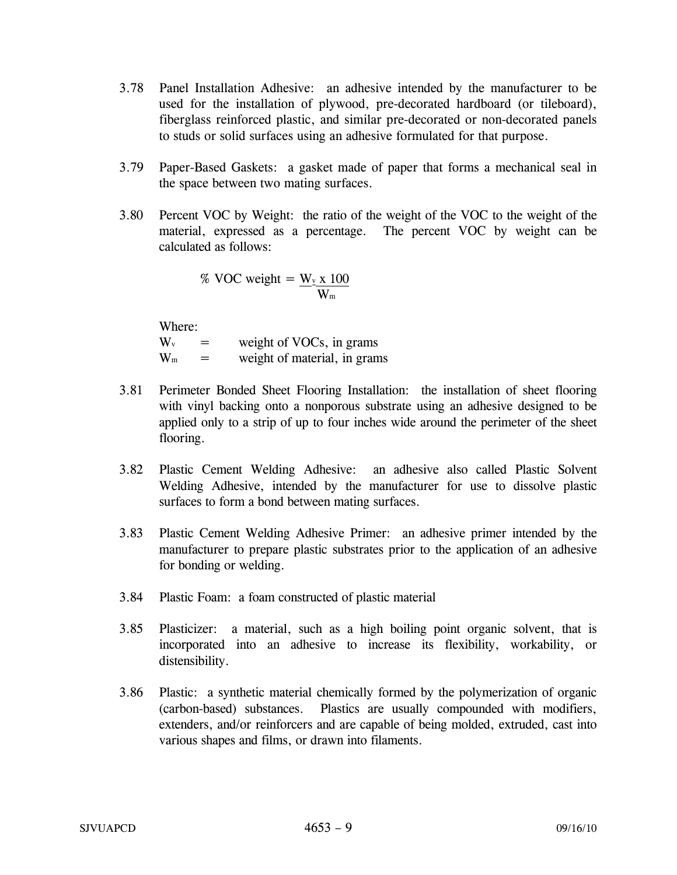- 3.78 Panel Installation Adhesive: an adhesive intended by the manufacturer to be used for the installation of plywood, pre-decorated hardboard (or tileboard), fiberglass reinforced plastic, and similar pre-decorated or non-decorated panels to studs or solid surfaces using an adhesive formulated for that purpose.
- 3.79 Paper-Based Gaskets: a gasket made of paper that forms a mechanical seal in the space between two mating surfaces.
- 3.80 Percent VOC by Weight: the ratio of the weight of the VOC to the weight of the material, expressed as a percentage. The percent VOC by weight can be calculated as follows:

% VOC weight =  $W_{\text{y}}$  x 100  $\mathbf{W}_{\text{m}}$ 

Where:

 $W_v$  = weight of VOCs, in grams  $W_m$  = weight of material, in grams

- 3.81 Perimeter Bonded Sheet Flooring Installation: the installation of sheet flooring with vinyl backing onto a nonporous substrate using an adhesive designed to be applied only to a strip of up to four inches wide around the perimeter of the sheet flooring.
- 3.82 Plastic Cement Welding Adhesive: an adhesive also called Plastic Solvent Welding Adhesive, intended by the manufacturer for use to dissolve plastic surfaces to form a bond between mating surfaces.
- 3.83 Plastic Cement Welding Adhesive Primer: an adhesive primer intended by the manufacturer to prepare plastic substrates prior to the application of an adhesive for bonding or welding.
- 3.84 Plastic Foam: a foam constructed of plastic material
- 3.85 Plasticizer: a material, such as a high boiling point organic solvent, that is incorporated into an adhesive to increase its flexibility, workability, or distensibility.
- 3.86 Plastic: a synthetic material chemically formed by the polymerization of organic (carbon-based) substances. Plastics are usually compounded with modifiers, extenders, and/or reinforcers and are capable of being molded, extruded, cast into various shapes and films, or drawn into filaments.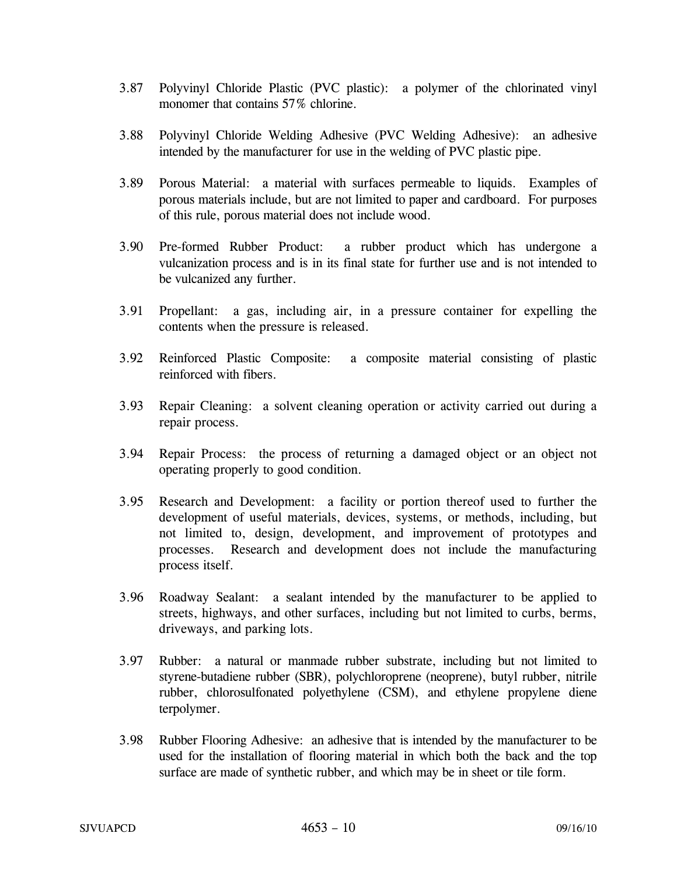- 3.87 Polyvinyl Chloride Plastic (PVC plastic): a polymer of the chlorinated vinyl monomer that contains 57% chlorine.
- 3.88 Polyvinyl Chloride Welding Adhesive (PVC Welding Adhesive): an adhesive intended by the manufacturer for use in the welding of PVC plastic pipe.
- 3.89 Porous Material: a material with surfaces permeable to liquids. Examples of porous materials include, but are not limited to paper and cardboard. For purposes of this rule, porous material does not include wood.
- 3.90 Pre-formed Rubber Product: a rubber product which has undergone a vulcanization process and is in its final state for further use and is not intended to be vulcanized any further.
- 3.91 Propellant: a gas, including air, in a pressure container for expelling the contents when the pressure is released.
- 3.92 Reinforced Plastic Composite: a composite material consisting of plastic reinforced with fibers.
- 3.93 Repair Cleaning: a solvent cleaning operation or activity carried out during a repair process.
- 3.94 Repair Process: the process of returning a damaged object or an object not operating properly to good condition.
- 3.95 Research and Development: a facility or portion thereof used to further the development of useful materials, devices, systems, or methods, including, but not limited to, design, development, and improvement of prototypes and processes. Research and development does not include the manufacturing process itself.
- 3.96 Roadway Sealant: a sealant intended by the manufacturer to be applied to streets, highways, and other surfaces, including but not limited to curbs, berms, driveways, and parking lots.
- 3.97 Rubber: a natural or manmade rubber substrate, including but not limited to styrene-butadiene rubber (SBR), polychloroprene (neoprene), butyl rubber, nitrile rubber, chlorosulfonated polyethylene (CSM), and ethylene propylene diene terpolymer.
- 3.98 Rubber Flooring Adhesive: an adhesive that is intended by the manufacturer to be used for the installation of flooring material in which both the back and the top surface are made of synthetic rubber, and which may be in sheet or tile form.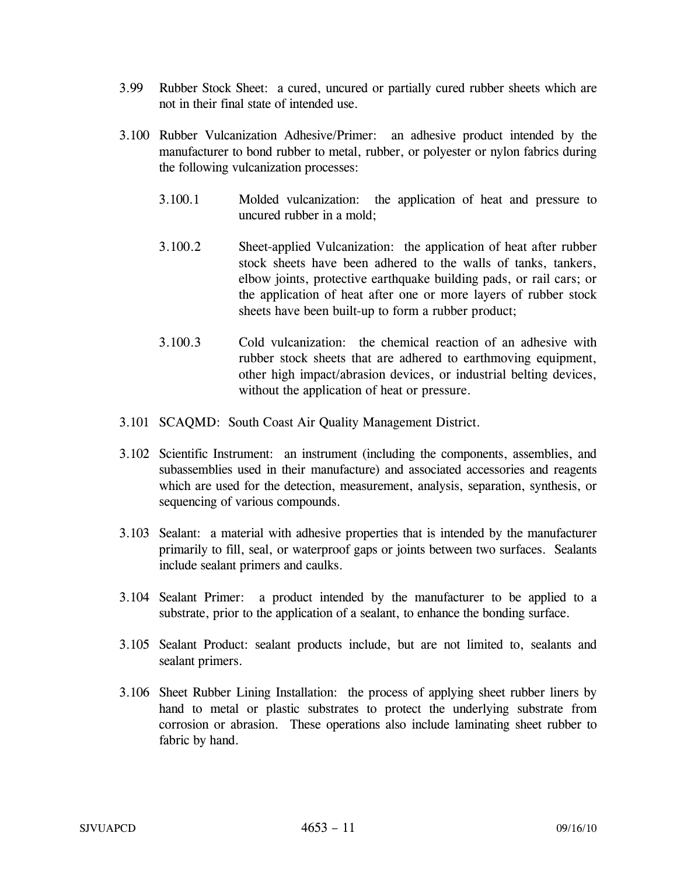- 3.99 Rubber Stock Sheet: a cured, uncured or partially cured rubber sheets which are not in their final state of intended use.
- 3.100 Rubber Vulcanization Adhesive/Primer: an adhesive product intended by the manufacturer to bond rubber to metal, rubber, or polyester or nylon fabrics during the following vulcanization processes:
	- 3.100.1 Molded vulcanization: the application of heat and pressure to uncured rubber in a mold;
	- 3.100.2 Sheet-applied Vulcanization: the application of heat after rubber stock sheets have been adhered to the walls of tanks, tankers, elbow joints, protective earthquake building pads, or rail cars; or the application of heat after one or more layers of rubber stock sheets have been built-up to form a rubber product;
	- 3.100.3 Cold vulcanization: the chemical reaction of an adhesive with rubber stock sheets that are adhered to earthmoving equipment, other high impact/abrasion devices, or industrial belting devices, without the application of heat or pressure.
- 3.101 SCAQMD: South Coast Air Quality Management District.
- 3.102 Scientific Instrument: an instrument (including the components, assemblies, and subassemblies used in their manufacture) and associated accessories and reagents which are used for the detection, measurement, analysis, separation, synthesis, or sequencing of various compounds.
- 3.103 Sealant: a material with adhesive properties that is intended by the manufacturer primarily to fill, seal, or waterproof gaps or joints between two surfaces. Sealants include sealant primers and caulks.
- 3.104 Sealant Primer: a product intended by the manufacturer to be applied to a substrate, prior to the application of a sealant, to enhance the bonding surface.
- 3.105 Sealant Product: sealant products include, but are not limited to, sealants and sealant primers.
- 3.106 Sheet Rubber Lining Installation: the process of applying sheet rubber liners by hand to metal or plastic substrates to protect the underlying substrate from corrosion or abrasion. These operations also include laminating sheet rubber to fabric by hand.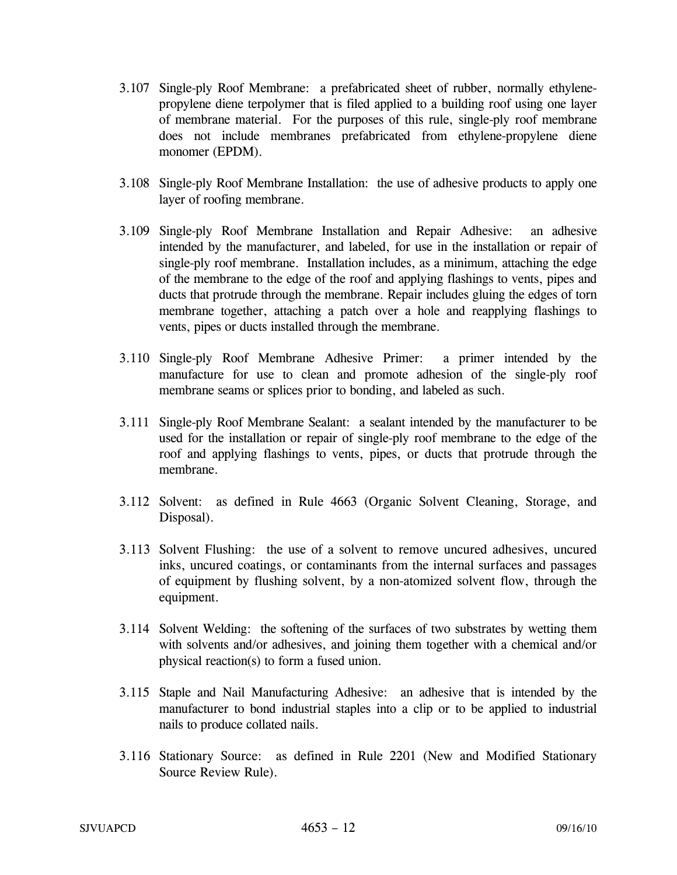- 3.107 Single-ply Roof Membrane: a prefabricated sheet of rubber, normally ethylenepropylene diene terpolymer that is filed applied to a building roof using one layer of membrane material. For the purposes of this rule, single-ply roof membrane does not include membranes prefabricated from ethylene-propylene diene monomer (EPDM).
- 3.108 Single-ply Roof Membrane Installation: the use of adhesive products to apply one layer of roofing membrane.
- 3.109 Single-ply Roof Membrane Installation and Repair Adhesive: an adhesive intended by the manufacturer, and labeled, for use in the installation or repair of single-ply roof membrane. Installation includes, as a minimum, attaching the edge of the membrane to the edge of the roof and applying flashings to vents, pipes and ducts that protrude through the membrane. Repair includes gluing the edges of torn membrane together, attaching a patch over a hole and reapplying flashings to vents, pipes or ducts installed through the membrane.
- 3.110 Single-ply Roof Membrane Adhesive Primer: a primer intended by the manufacture for use to clean and promote adhesion of the single-ply roof membrane seams or splices prior to bonding, and labeled as such.
- 3.111 Single-ply Roof Membrane Sealant: a sealant intended by the manufacturer to be used for the installation or repair of single-ply roof membrane to the edge of the roof and applying flashings to vents, pipes, or ducts that protrude through the membrane.
- 3.112 Solvent: as defined in Rule 4663 (Organic Solvent Cleaning, Storage, and Disposal).
- 3.113 Solvent Flushing: the use of a solvent to remove uncured adhesives, uncured inks, uncured coatings, or contaminants from the internal surfaces and passages of equipment by flushing solvent, by a non-atomized solvent flow, through the equipment.
- 3.114 Solvent Welding: the softening of the surfaces of two substrates by wetting them with solvents and/or adhesives, and joining them together with a chemical and/or physical reaction(s) to form a fused union.
- 3.115 Staple and Nail Manufacturing Adhesive: an adhesive that is intended by the manufacturer to bond industrial staples into a clip or to be applied to industrial nails to produce collated nails.
- 3.116 Stationary Source: as defined in Rule 2201 (New and Modified Stationary Source Review Rule).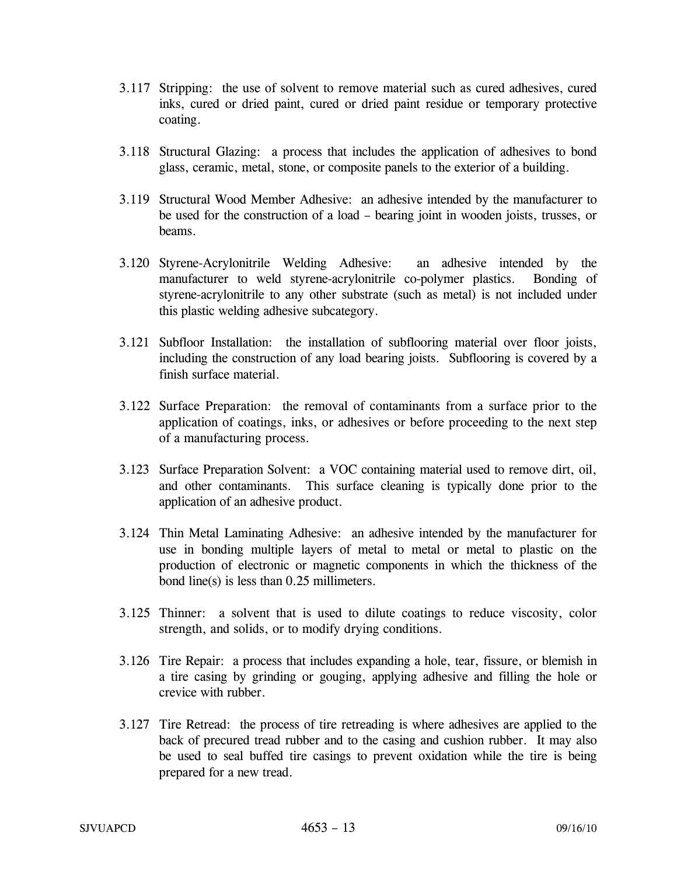- 3.117 Stripping: the use of solvent to remove material such as cured adhesives, cured inks, cured or dried paint, cured or dried paint residue or temporary protective coating.
- 3.118 Structural Glazing: a process that includes the application of adhesives to bond glass, ceramic, metal, stone, or composite panels to the exterior of a building.
- 3.119 Structural Wood Member Adhesive: an adhesive intended by the manufacturer to be used for the construction of a load – bearing joint in wooden joists, trusses, or beams.
- 3.120 Styrene-Acrylonitrile Welding Adhesive: an adhesive intended by the manufacturer to weld styrene-acrylonitrile co-polymer plastics. Bonding of styrene-acrylonitrile to any other substrate (such as metal) is not included under this plastic welding adhesive subcategory.
- 3.121 Subfloor Installation: the installation of subflooring material over floor joists, including the construction of any load bearing joists. Subflooring is covered by a finish surface material.
- 3.122 Surface Preparation: the removal of contaminants from a surface prior to the application of coatings, inks, or adhesives or before proceeding to the next step of a manufacturing process.
- 3.123 Surface Preparation Solvent: a VOC containing material used to remove dirt, oil, and other contaminants. This surface cleaning is typically done prior to the application of an adhesive product.
- 3.124 Thin Metal Laminating Adhesive: an adhesive intended by the manufacturer for use in bonding multiple layers of metal to metal or metal to plastic on the production of electronic or magnetic components in which the thickness of the bond line(s) is less than 0.25 millimeters.
- 3.125 Thinner: a solvent that is used to dilute coatings to reduce viscosity, color strength, and solids, or to modify drying conditions.
- 3.126 Tire Repair: a process that includes expanding a hole, tear, fissure, or blemish in a tire casing by grinding or gouging, applying adhesive and filling the hole or crevice with rubber.
- 3.127 Tire Retread: the process of tire retreading is where adhesives are applied to the back of precured tread rubber and to the casing and cushion rubber. It may also be used to seal buffed tire casings to prevent oxidation while the tire is being prepared for a new tread.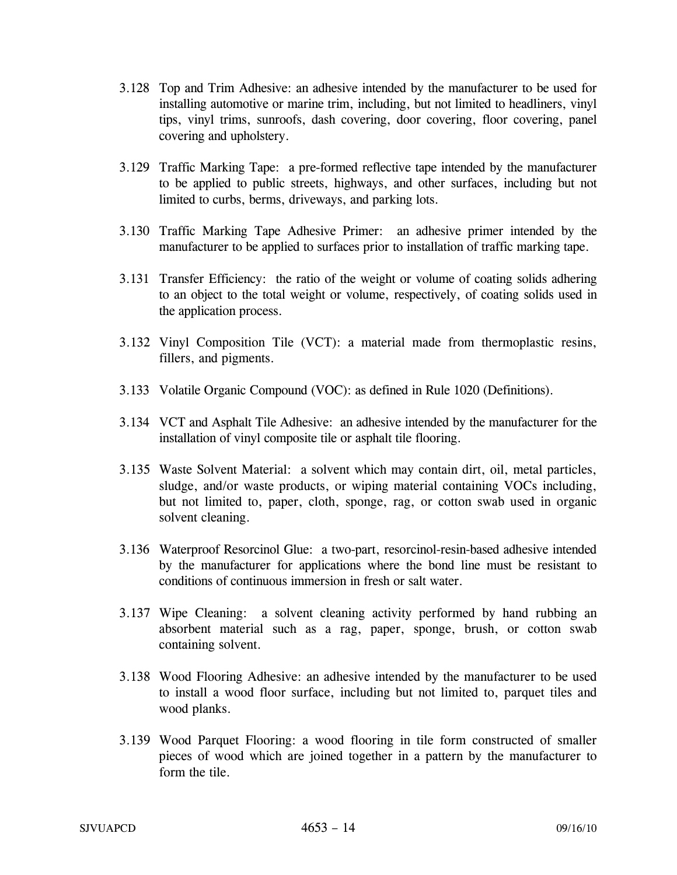- 3.128 Top and Trim Adhesive: an adhesive intended by the manufacturer to be used for installing automotive or marine trim, including, but not limited to headliners, vinyl tips, vinyl trims, sunroofs, dash covering, door covering, floor covering, panel covering and upholstery.
- 3.129 Traffic Marking Tape: a pre-formed reflective tape intended by the manufacturer to be applied to public streets, highways, and other surfaces, including but not limited to curbs, berms, driveways, and parking lots.
- 3.130 Traffic Marking Tape Adhesive Primer: an adhesive primer intended by the manufacturer to be applied to surfaces prior to installation of traffic marking tape.
- 3.131 Transfer Efficiency: the ratio of the weight or volume of coating solids adhering to an object to the total weight or volume, respectively, of coating solids used in the application process.
- 3.132 Vinyl Composition Tile (VCT): a material made from thermoplastic resins, fillers, and pigments.
- 3.133 Volatile Organic Compound (VOC): as defined in Rule 1020 (Definitions).
- 3.134 VCT and Asphalt Tile Adhesive: an adhesive intended by the manufacturer for the installation of vinyl composite tile or asphalt tile flooring.
- 3.135 Waste Solvent Material: a solvent which may contain dirt, oil, metal particles, sludge, and/or waste products, or wiping material containing VOCs including, but not limited to, paper, cloth, sponge, rag, or cotton swab used in organic solvent cleaning.
- 3.136 Waterproof Resorcinol Glue: a two-part, resorcinol-resin-based adhesive intended by the manufacturer for applications where the bond line must be resistant to conditions of continuous immersion in fresh or salt water.
- 3.137 Wipe Cleaning: a solvent cleaning activity performed by hand rubbing an absorbent material such as a rag, paper, sponge, brush, or cotton swab containing solvent.
- 3.138 Wood Flooring Adhesive: an adhesive intended by the manufacturer to be used to install a wood floor surface, including but not limited to, parquet tiles and wood planks.
- 3.139 Wood Parquet Flooring: a wood flooring in tile form constructed of smaller pieces of wood which are joined together in a pattern by the manufacturer to form the tile.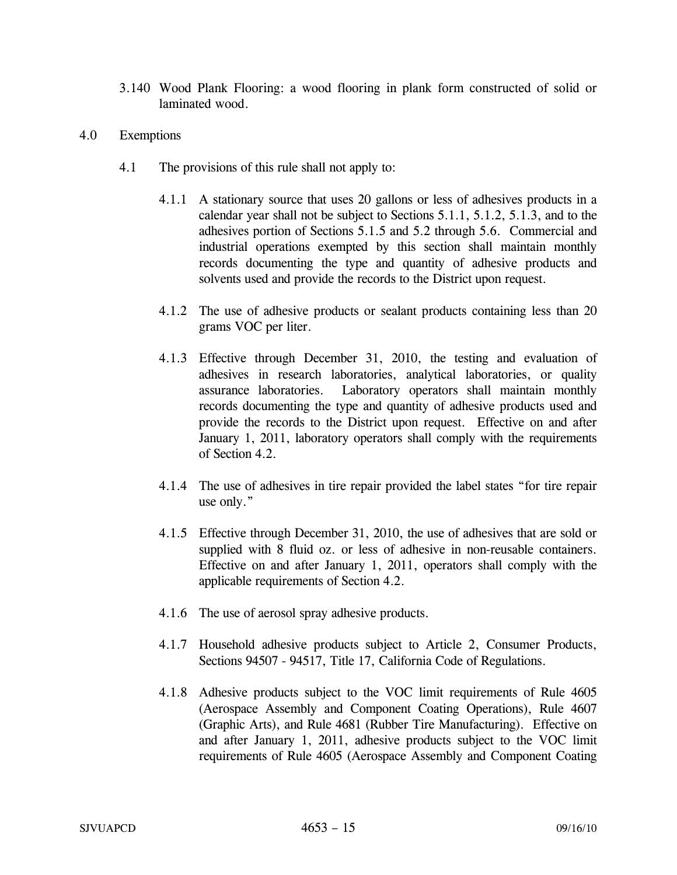- 3.140 Wood Plank Flooring: a wood flooring in plank form constructed of solid or laminated wood.
- 4.0 Exemptions
	- 4.1 The provisions of this rule shall not apply to:
		- 4.1.1 A stationary source that uses 20 gallons or less of adhesives products in a calendar year shall not be subject to Sections 5.1.1, 5.1.2, 5.1.3, and to the adhesives portion of Sections 5.1.5 and 5.2 through 5.6. Commercial and industrial operations exempted by this section shall maintain monthly records documenting the type and quantity of adhesive products and solvents used and provide the records to the District upon request.
		- 4.1.2 The use of adhesive products or sealant products containing less than 20 grams VOC per liter.
		- 4.1.3 Effective through December 31, 2010, the testing and evaluation of adhesives in research laboratories, analytical laboratories, or quality assurance laboratories. Laboratory operators shall maintain monthly records documenting the type and quantity of adhesive products used and provide the records to the District upon request. Effective on and after January 1, 2011, laboratory operators shall comply with the requirements of Section 4.2.
		- 4.1.4 The use of adhesives in tire repair provided the label states "for tire repair use only."
		- 4.1.5 Effective through December 31, 2010, the use of adhesives that are sold or supplied with 8 fluid oz. or less of adhesive in non-reusable containers. Effective on and after January 1, 2011, operators shall comply with the applicable requirements of Section 4.2.
		- 4.1.6 The use of aerosol spray adhesive products.
		- 4.1.7 Household adhesive products subject to Article 2, Consumer Products, Sections 94507 - 94517, Title 17, California Code of Regulations.
		- 4.1.8 Adhesive products subject to the VOC limit requirements of Rule 4605 (Aerospace Assembly and Component Coating Operations), Rule 4607 (Graphic Arts), and Rule 4681 (Rubber Tire Manufacturing). Effective on and after January 1, 2011, adhesive products subject to the VOC limit requirements of Rule 4605 (Aerospace Assembly and Component Coating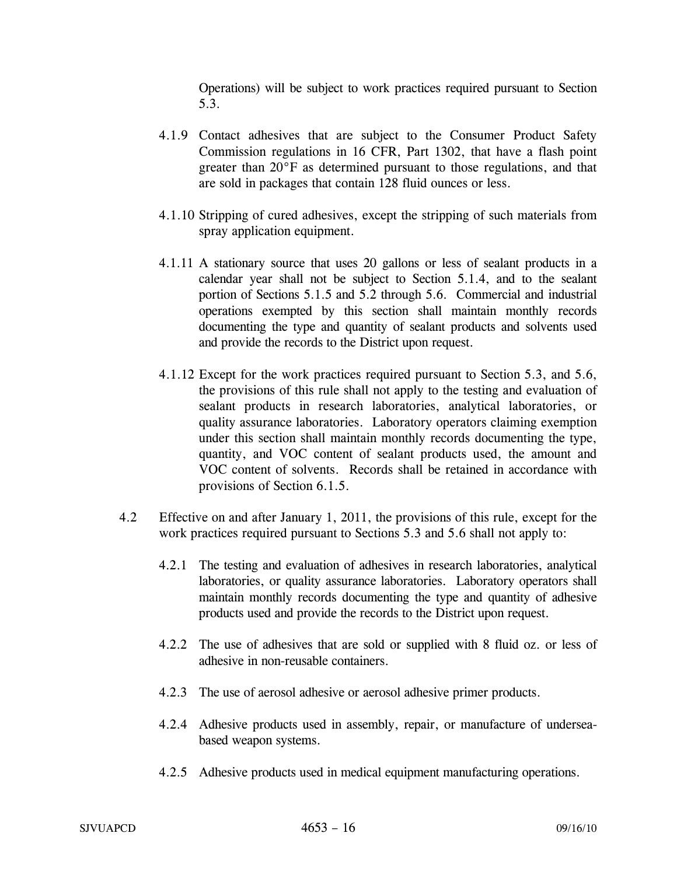Operations) will be subject to work practices required pursuant to Section 5.3.

- 4.1.9 Contact adhesives that are subject to the Consumer Product Safety Commission regulations in 16 CFR, Part 1302, that have a flash point greater than 20°F as determined pursuant to those regulations, and that are sold in packages that contain 128 fluid ounces or less.
- 4.1.10 Stripping of cured adhesives, except the stripping of such materials from spray application equipment.
- 4.1.11 A stationary source that uses 20 gallons or less of sealant products in a calendar year shall not be subject to Section 5.1.4, and to the sealant portion of Sections 5.1.5 and 5.2 through 5.6. Commercial and industrial operations exempted by this section shall maintain monthly records documenting the type and quantity of sealant products and solvents used and provide the records to the District upon request.
- 4.1.12 Except for the work practices required pursuant to Section 5.3, and 5.6, the provisions of this rule shall not apply to the testing and evaluation of sealant products in research laboratories, analytical laboratories, or quality assurance laboratories. Laboratory operators claiming exemption under this section shall maintain monthly records documenting the type, quantity, and VOC content of sealant products used, the amount and VOC content of solvents. Records shall be retained in accordance with provisions of Section 6.1.5.
- 4.2 Effective on and after January 1, 2011, the provisions of this rule, except for the work practices required pursuant to Sections 5.3 and 5.6 shall not apply to:
	- 4.2.1 The testing and evaluation of adhesives in research laboratories, analytical laboratories, or quality assurance laboratories. Laboratory operators shall maintain monthly records documenting the type and quantity of adhesive products used and provide the records to the District upon request.
	- 4.2.2 The use of adhesives that are sold or supplied with 8 fluid oz. or less of adhesive in non-reusable containers.
	- 4.2.3 The use of aerosol adhesive or aerosol adhesive primer products.
	- 4.2.4 Adhesive products used in assembly, repair, or manufacture of underseabased weapon systems.
	- 4.2.5 Adhesive products used in medical equipment manufacturing operations.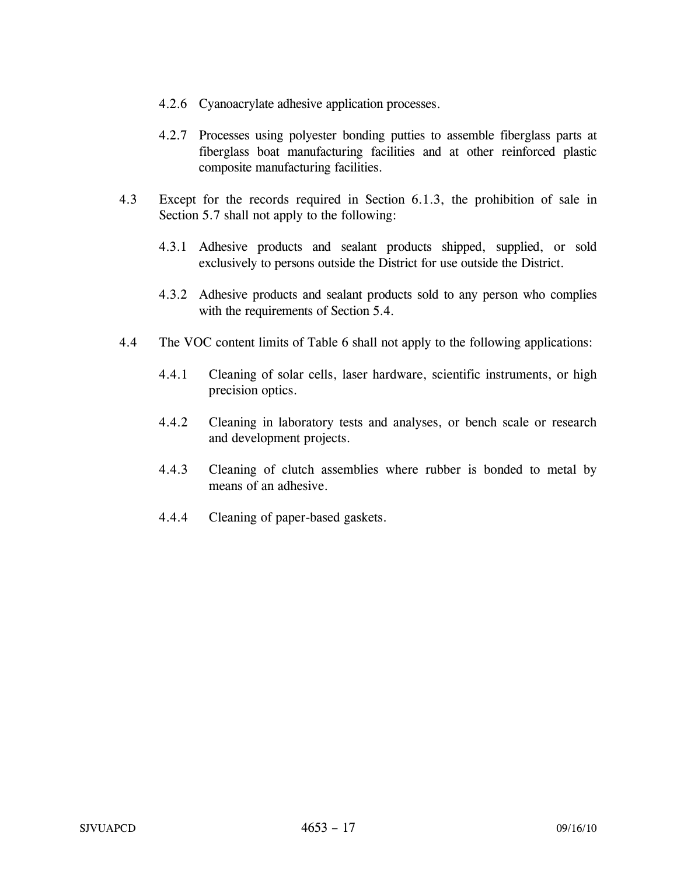- 4.2.6 Cyanoacrylate adhesive application processes.
- 4.2.7 Processes using polyester bonding putties to assemble fiberglass parts at fiberglass boat manufacturing facilities and at other reinforced plastic composite manufacturing facilities.
- 4.3 Except for the records required in Section 6.1.3, the prohibition of sale in Section 5.7 shall not apply to the following:
	- 4.3.1 Adhesive products and sealant products shipped, supplied, or sold exclusively to persons outside the District for use outside the District.
	- 4.3.2 Adhesive products and sealant products sold to any person who complies with the requirements of Section 5.4.
- 4.4 The VOC content limits of Table 6 shall not apply to the following applications:
	- 4.4.1 Cleaning of solar cells, laser hardware, scientific instruments, or high precision optics.
	- 4.4.2 Cleaning in laboratory tests and analyses, or bench scale or research and development projects.
	- 4.4.3 Cleaning of clutch assemblies where rubber is bonded to metal by means of an adhesive.
	- 4.4.4 Cleaning of paper-based gaskets.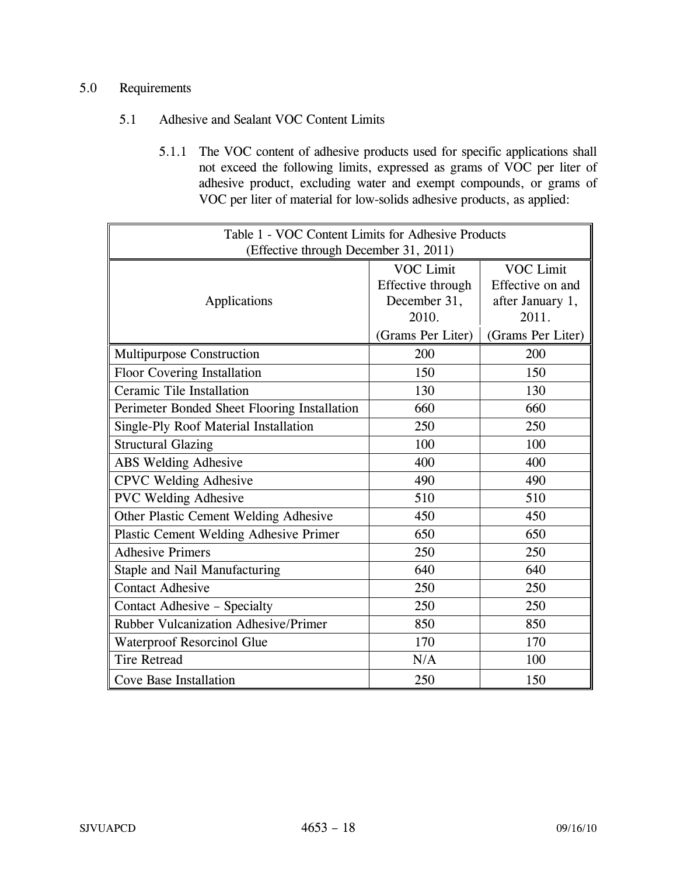# 5.0 Requirements

# 5.1 Adhesive and Sealant VOC Content Limits

5.1.1 The VOC content of adhesive products used for specific applications shall not exceed the following limits, expressed as grams of VOC per liter of adhesive product, excluding water and exempt compounds, or grams of VOC per liter of material for low-solids adhesive products, as applied:

| Table 1 - VOC Content Limits for Adhesive Products |                                                                                     |                                                                                        |
|----------------------------------------------------|-------------------------------------------------------------------------------------|----------------------------------------------------------------------------------------|
| (Effective through December 31, 2011)              |                                                                                     |                                                                                        |
| Applications                                       | <b>VOC Limit</b><br>Effective through<br>December 31,<br>2010.<br>(Grams Per Liter) | <b>VOC Limit</b><br>Effective on and<br>after January 1,<br>2011.<br>(Grams Per Liter) |
| <b>Multipurpose Construction</b>                   | 200                                                                                 | 200                                                                                    |
| Floor Covering Installation                        | 150                                                                                 | 150                                                                                    |
| Ceramic Tile Installation                          | 130                                                                                 | 130                                                                                    |
| Perimeter Bonded Sheet Flooring Installation       | 660                                                                                 | 660                                                                                    |
| Single-Ply Roof Material Installation              | 250                                                                                 | 250                                                                                    |
| <b>Structural Glazing</b>                          | 100                                                                                 | 100                                                                                    |
| <b>ABS Welding Adhesive</b>                        | 400                                                                                 | 400                                                                                    |
| <b>CPVC Welding Adhesive</b>                       | 490                                                                                 | 490                                                                                    |
| <b>PVC Welding Adhesive</b>                        | 510                                                                                 | 510                                                                                    |
| Other Plastic Cement Welding Adhesive              | 450                                                                                 | 450                                                                                    |
| <b>Plastic Cement Welding Adhesive Primer</b>      | 650                                                                                 | 650                                                                                    |
| <b>Adhesive Primers</b>                            | 250                                                                                 | 250                                                                                    |
| Staple and Nail Manufacturing                      | 640                                                                                 | 640                                                                                    |
| <b>Contact Adhesive</b>                            | 250                                                                                 | 250                                                                                    |
| Contact Adhesive - Specialty                       | 250                                                                                 | 250                                                                                    |
| <b>Rubber Vulcanization Adhesive/Primer</b>        | 850                                                                                 | 850                                                                                    |
| Waterproof Resorcinol Glue                         | 170                                                                                 | 170                                                                                    |
| <b>Tire Retread</b>                                | N/A                                                                                 | 100                                                                                    |
| Cove Base Installation                             | 250                                                                                 | 150                                                                                    |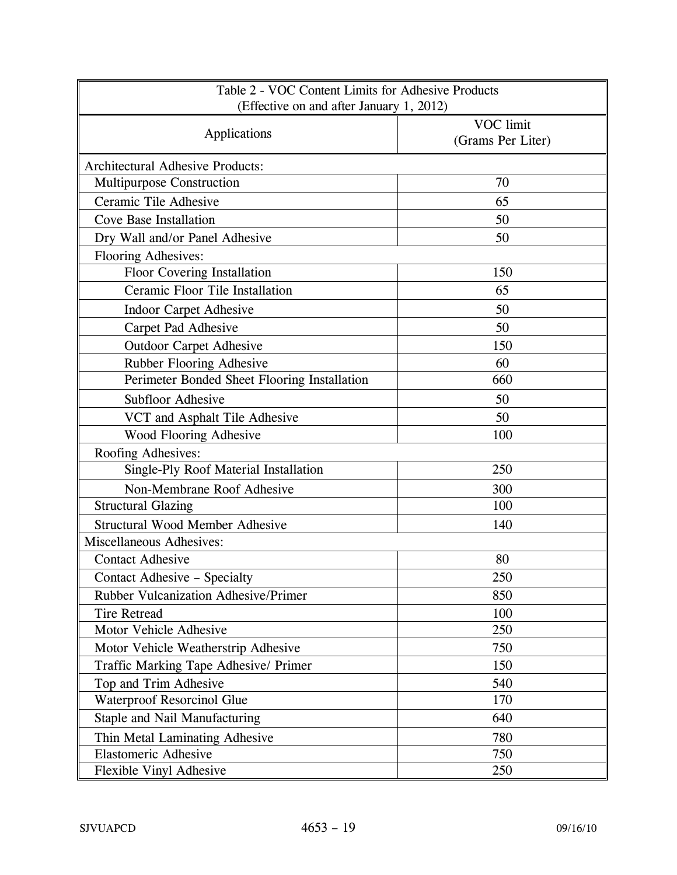| Table 2 - VOC Content Limits for Adhesive Products<br>(Effective on and after January 1, 2012) |                                |  |
|------------------------------------------------------------------------------------------------|--------------------------------|--|
| Applications                                                                                   | VOC limit<br>(Grams Per Liter) |  |
| <b>Architectural Adhesive Products:</b>                                                        |                                |  |
| Multipurpose Construction                                                                      | 70                             |  |
| Ceramic Tile Adhesive                                                                          | 65                             |  |
| <b>Cove Base Installation</b>                                                                  | 50                             |  |
| Dry Wall and/or Panel Adhesive                                                                 | 50                             |  |
| Flooring Adhesives:                                                                            |                                |  |
| Floor Covering Installation                                                                    | 150                            |  |
| Ceramic Floor Tile Installation                                                                | 65                             |  |
| <b>Indoor Carpet Adhesive</b>                                                                  | 50                             |  |
| Carpet Pad Adhesive                                                                            | 50                             |  |
| <b>Outdoor Carpet Adhesive</b>                                                                 | 150                            |  |
| Rubber Flooring Adhesive                                                                       | 60                             |  |
| Perimeter Bonded Sheet Flooring Installation                                                   | 660                            |  |
| Subfloor Adhesive                                                                              | 50                             |  |
| VCT and Asphalt Tile Adhesive                                                                  | 50                             |  |
| <b>Wood Flooring Adhesive</b>                                                                  | 100                            |  |
| Roofing Adhesives:                                                                             |                                |  |
| Single-Ply Roof Material Installation                                                          | 250                            |  |
| Non-Membrane Roof Adhesive                                                                     | 300                            |  |
| <b>Structural Glazing</b>                                                                      | 100                            |  |
| <b>Structural Wood Member Adhesive</b>                                                         | 140                            |  |
| Miscellaneous Adhesives:                                                                       |                                |  |
| <b>Contact Adhesive</b>                                                                        | 80                             |  |
| Contact Adhesive - Specialty                                                                   | 250                            |  |
| <b>Rubber Vulcanization Adhesive/Primer</b>                                                    | 850                            |  |
| <b>Tire Retread</b>                                                                            | 100                            |  |
| Motor Vehicle Adhesive                                                                         | 250                            |  |
| Motor Vehicle Weatherstrip Adhesive                                                            | 750                            |  |
| Traffic Marking Tape Adhesive/ Primer                                                          | 150                            |  |
| Top and Trim Adhesive                                                                          | 540                            |  |
| Waterproof Resorcinol Glue                                                                     | 170                            |  |
| Staple and Nail Manufacturing<br>640                                                           |                                |  |
| Thin Metal Laminating Adhesive<br>780                                                          |                                |  |
| <b>Elastomeric Adhesive</b><br>750                                                             |                                |  |
| Flexible Vinyl Adhesive                                                                        | 250                            |  |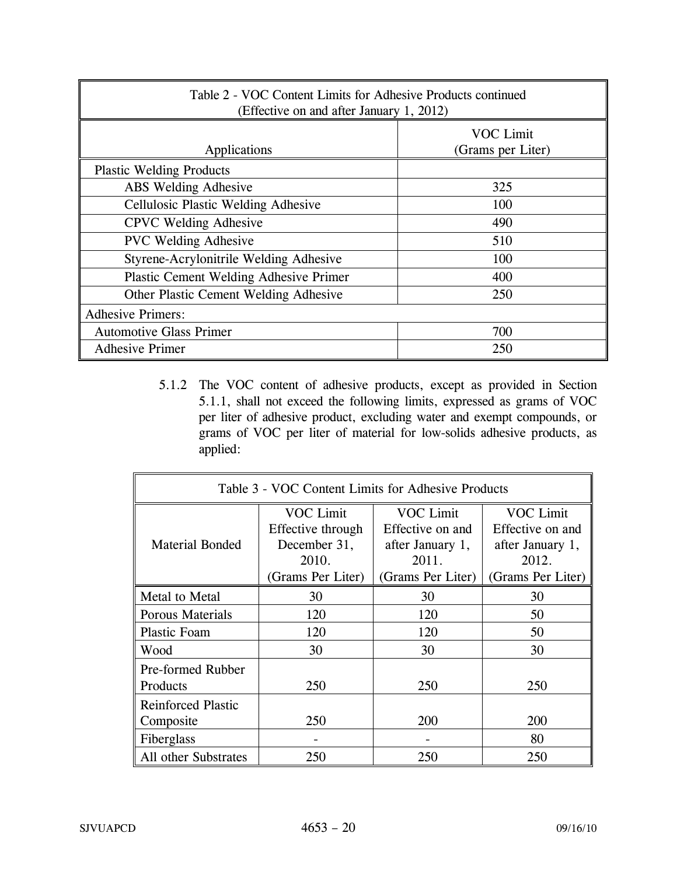| Table 2 - VOC Content Limits for Adhesive Products continued<br>(Effective on and after January 1, 2012) |                                       |  |
|----------------------------------------------------------------------------------------------------------|---------------------------------------|--|
| Applications                                                                                             | <b>VOC Limit</b><br>(Grams per Liter) |  |
| <b>Plastic Welding Products</b>                                                                          |                                       |  |
| ABS Welding Adhesive                                                                                     | 325                                   |  |
| <b>Cellulosic Plastic Welding Adhesive</b>                                                               | 100                                   |  |
| <b>CPVC</b> Welding Adhesive                                                                             | 490                                   |  |
| <b>PVC Welding Adhesive</b>                                                                              | 510                                   |  |
| Styrene-Acrylonitrile Welding Adhesive                                                                   | 100                                   |  |
| Plastic Cement Welding Adhesive Primer                                                                   | 400                                   |  |
| Other Plastic Cement Welding Adhesive                                                                    | 250                                   |  |
| <b>Adhesive Primers:</b>                                                                                 |                                       |  |
| <b>Automotive Glass Primer</b><br>700                                                                    |                                       |  |
| <b>Adhesive Primer</b><br>250                                                                            |                                       |  |

5.1.2 The VOC content of adhesive products, except as provided in Section 5.1.1, shall not exceed the following limits, expressed as grams of VOC per liter of adhesive product, excluding water and exempt compounds, or grams of VOC per liter of material for low-solids adhesive products, as applied:

| Table 3 - VOC Content Limits for Adhesive Products |                   |                   |                   |
|----------------------------------------------------|-------------------|-------------------|-------------------|
|                                                    | <b>VOC Limit</b>  | <b>VOC Limit</b>  | <b>VOC Limit</b>  |
|                                                    | Effective through | Effective on and  | Effective on and  |
| <b>Material Bonded</b>                             | December 31,      | after January 1,  | after January 1,  |
|                                                    | 2010.             | 2011.             | 2012.             |
|                                                    | (Grams Per Liter) | (Grams Per Liter) | (Grams Per Liter) |
| Metal to Metal                                     | 30                | 30                | 30                |
| <b>Porous Materials</b>                            | 120               | 120               | 50                |
| <b>Plastic Foam</b>                                | 120               | 120               | 50                |
| Wood                                               | 30                | 30                | 30                |
| <b>Pre-formed Rubber</b>                           |                   |                   |                   |
| Products                                           | 250               | 250               | 250               |
| <b>Reinforced Plastic</b>                          |                   |                   |                   |
| Composite                                          | 250               | 200               | 200               |
| Fiberglass                                         |                   |                   | 80                |
| All other Substrates                               | 250               | 250               | 250               |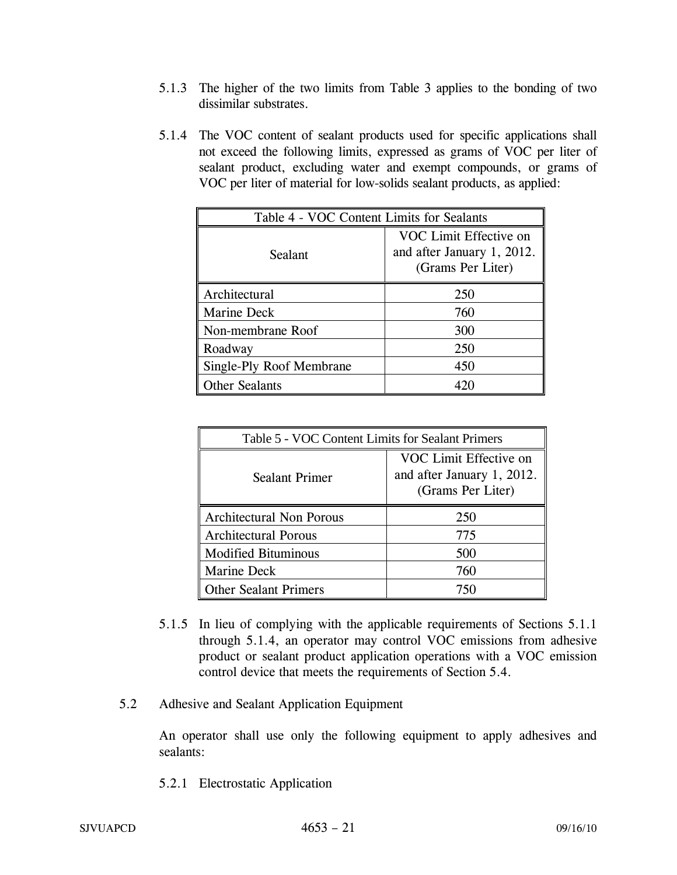- 5.1.3 The higher of the two limits from Table 3 applies to the bonding of two dissimilar substrates.
- 5.1.4 The VOC content of sealant products used for specific applications shall not exceed the following limits, expressed as grams of VOC per liter of sealant product, excluding water and exempt compounds, or grams of VOC per liter of material for low-solids sealant products, as applied:

| Table 4 - VOC Content Limits for Sealants |                                                                           |
|-------------------------------------------|---------------------------------------------------------------------------|
| Sealant                                   | VOC Limit Effective on<br>and after January 1, 2012.<br>(Grams Per Liter) |
| Architectural                             | 250                                                                       |
| Marine Deck                               | 760                                                                       |
| Non-membrane Roof                         | 300                                                                       |
| Roadway                                   | 250                                                                       |
| Single-Ply Roof Membrane                  | 450                                                                       |
| <b>Other Sealants</b>                     |                                                                           |

| Table 5 - VOC Content Limits for Sealant Primers |                                                                           |
|--------------------------------------------------|---------------------------------------------------------------------------|
| <b>Sealant Primer</b>                            | VOC Limit Effective on<br>and after January 1, 2012.<br>(Grams Per Liter) |
| <b>Architectural Non Porous</b>                  | 250                                                                       |
| <b>Architectural Porous</b>                      | 775                                                                       |
| <b>Modified Bituminous</b>                       | 500                                                                       |
| <b>Marine Deck</b>                               | 760                                                                       |
| <b>Other Sealant Primers</b>                     | 750                                                                       |

- 5.1.5 In lieu of complying with the applicable requirements of Sections 5.1.1 through 5.1.4, an operator may control VOC emissions from adhesive product or sealant product application operations with a VOC emission control device that meets the requirements of Section 5.4.
- 5.2 Adhesive and Sealant Application Equipment

An operator shall use only the following equipment to apply adhesives and sealants:

5.2.1 Electrostatic Application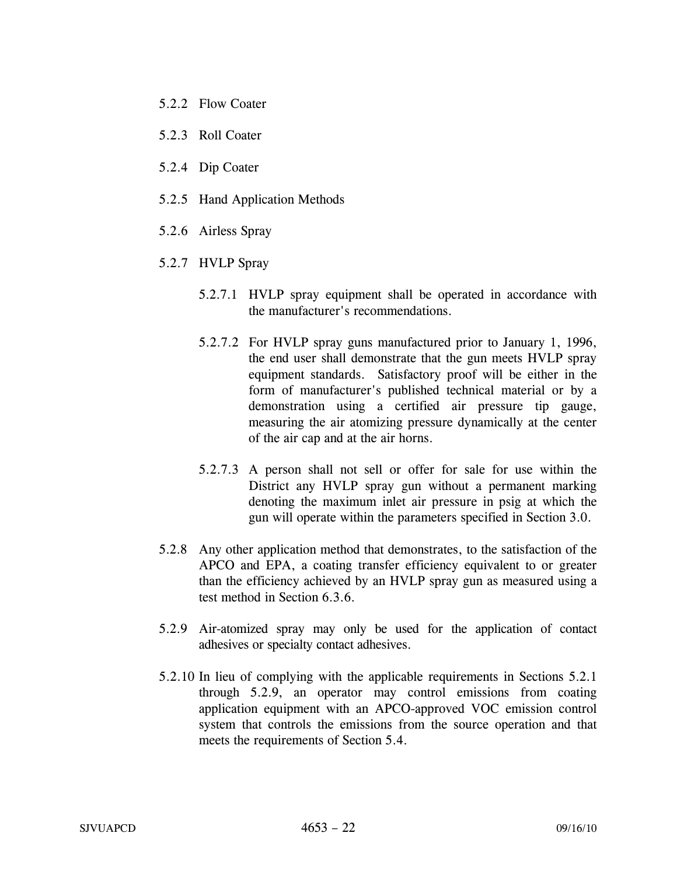- 5.2.2 Flow Coater
- 5.2.3 Roll Coater
- 5.2.4 Dip Coater
- 5.2.5 Hand Application Methods
- 5.2.6 Airless Spray
- 5.2.7 HVLP Spray
	- 5.2.7.1 HVLP spray equipment shall be operated in accordance with the manufacturer's recommendations.
	- 5.2.7.2 For HVLP spray guns manufactured prior to January 1, 1996, the end user shall demonstrate that the gun meets HVLP spray equipment standards. Satisfactory proof will be either in the form of manufacturer's published technical material or by a demonstration using a certified air pressure tip gauge, measuring the air atomizing pressure dynamically at the center of the air cap and at the air horns.
	- 5.2.7.3 A person shall not sell or offer for sale for use within the District any HVLP spray gun without a permanent marking denoting the maximum inlet air pressure in psig at which the gun will operate within the parameters specified in Section 3.0.
- 5.2.8 Any other application method that demonstrates, to the satisfaction of the APCO and EPA, a coating transfer efficiency equivalent to or greater than the efficiency achieved by an HVLP spray gun as measured using a test method in Section 6.3.6.
- 5.2.9 Air-atomized spray may only be used for the application of contact adhesives or specialty contact adhesives.
- 5.2.10 In lieu of complying with the applicable requirements in Sections 5.2.1 through 5.2.9, an operator may control emissions from coating application equipment with an APCO-approved VOC emission control system that controls the emissions from the source operation and that meets the requirements of Section 5.4.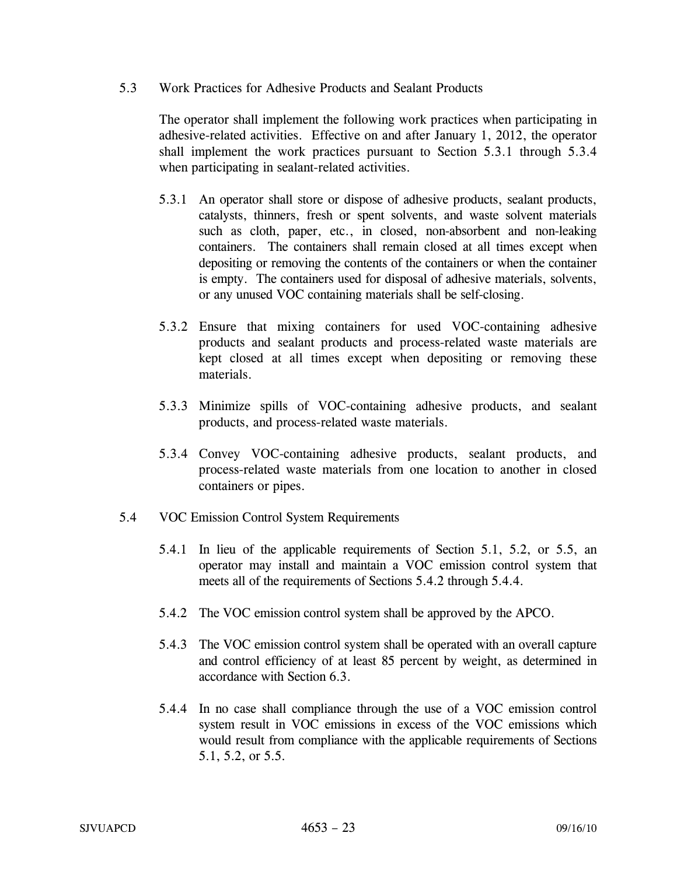5.3 Work Practices for Adhesive Products and Sealant Products

 The operator shall implement the following work practices when participating in adhesive-related activities. Effective on and after January 1, 2012, the operator shall implement the work practices pursuant to Section 5.3.1 through 5.3.4 when participating in sealant-related activities.

- 5.3.1 An operator shall store or dispose of adhesive products, sealant products, catalysts, thinners, fresh or spent solvents, and waste solvent materials such as cloth, paper, etc., in closed, non-absorbent and non-leaking containers. The containers shall remain closed at all times except when depositing or removing the contents of the containers or when the container is empty. The containers used for disposal of adhesive materials, solvents, or any unused VOC containing materials shall be self-closing.
- 5.3.2 Ensure that mixing containers for used VOC-containing adhesive products and sealant products and process-related waste materials are kept closed at all times except when depositing or removing these materials.
- 5.3.3 Minimize spills of VOC-containing adhesive products, and sealant products, and process-related waste materials.
- 5.3.4 Convey VOC-containing adhesive products, sealant products, and process-related waste materials from one location to another in closed containers or pipes.
- 5.4 VOC Emission Control System Requirements
	- 5.4.1 In lieu of the applicable requirements of Section 5.1, 5.2, or 5.5, an operator may install and maintain a VOC emission control system that meets all of the requirements of Sections 5.4.2 through 5.4.4.
	- 5.4.2 The VOC emission control system shall be approved by the APCO.
	- 5.4.3 The VOC emission control system shall be operated with an overall capture and control efficiency of at least 85 percent by weight, as determined in accordance with Section 6.3.
	- 5.4.4 In no case shall compliance through the use of a VOC emission control system result in VOC emissions in excess of the VOC emissions which would result from compliance with the applicable requirements of Sections 5.1, 5.2, or 5.5.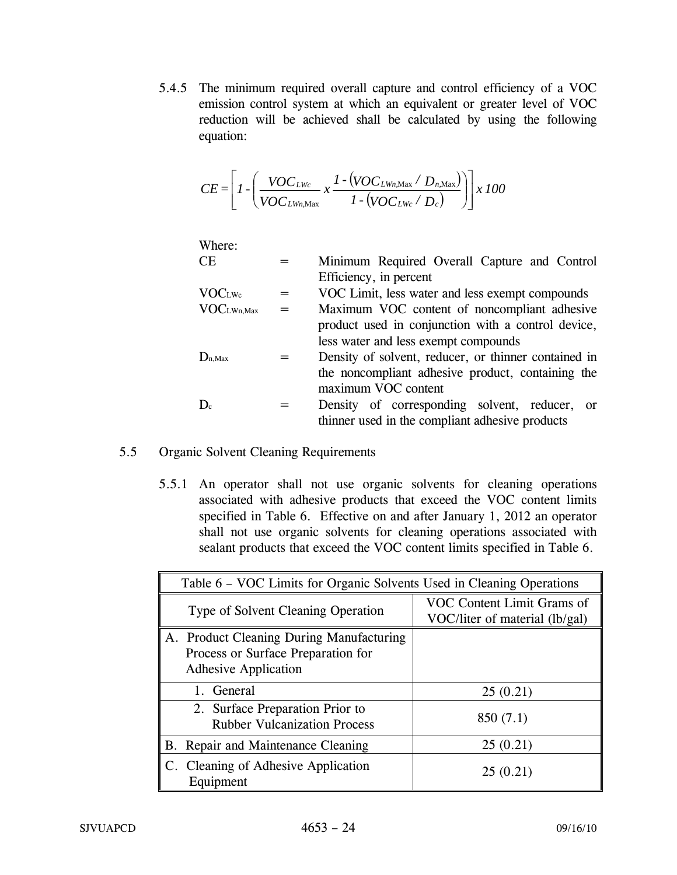5.4.5 The minimum required overall capture and control efficiency of a VOC emission control system at which an equivalent or greater level of VOC reduction will be achieved shall be calculated by using the following equation:

$$
CE = \left[1 - \left(\frac{VOC_{LWc}}{VOC_{LWn,Max}} x \frac{1 - (VOC_{LWn,Max} / D_{n,Max})}{1 - (VOC_{LWc} / D_c)}\right)\right] x 100
$$

Where:

| CE                        |     | Minimum Required Overall Capture and Control         |
|---------------------------|-----|------------------------------------------------------|
|                           |     | Efficiency, in percent                               |
| VOC <sub>LWe</sub>        | =   | VOC Limit, less water and less exempt compounds      |
| VOC <sub>LWn,Max</sub>    | $=$ | Maximum VOC content of noncompliant adhesive         |
|                           |     | product used in conjunction with a control device,   |
|                           |     | less water and less exempt compounds                 |
| $\mathbf{D}_{\rm n, Max}$ |     | Density of solvent, reducer, or thinner contained in |
|                           |     | the noncompliant adhesive product, containing the    |
|                           |     | maximum VOC content                                  |
| $\mathbf{D}_{\rm c}$      |     | Density of corresponding solvent, reducer, or        |
|                           |     | thinner used in the compliant adhesive products      |

### 5.5 Organic Solvent Cleaning Requirements

5.5.1 An operator shall not use organic solvents for cleaning operations associated with adhesive products that exceed the VOC content limits specified in Table 6. Effective on and after January 1, 2012 an operator shall not use organic solvents for cleaning operations associated with sealant products that exceed the VOC content limits specified in Table 6.

| Table 6 - VOC Limits for Organic Solvents Used in Cleaning Operations                                         |                                                              |
|---------------------------------------------------------------------------------------------------------------|--------------------------------------------------------------|
| Type of Solvent Cleaning Operation                                                                            | VOC Content Limit Grams of<br>VOC/liter of material (lb/gal) |
| A. Product Cleaning During Manufacturing<br>Process or Surface Preparation for<br><b>Adhesive Application</b> |                                                              |
| General                                                                                                       | 25(0.21)                                                     |
| 2. Surface Preparation Prior to<br><b>Rubber Vulcanization Process</b>                                        | 850(7.1)                                                     |
| B. Repair and Maintenance Cleaning                                                                            | 25(0.21)                                                     |
| C. Cleaning of Adhesive Application<br>Equipment                                                              | 25(0.21)                                                     |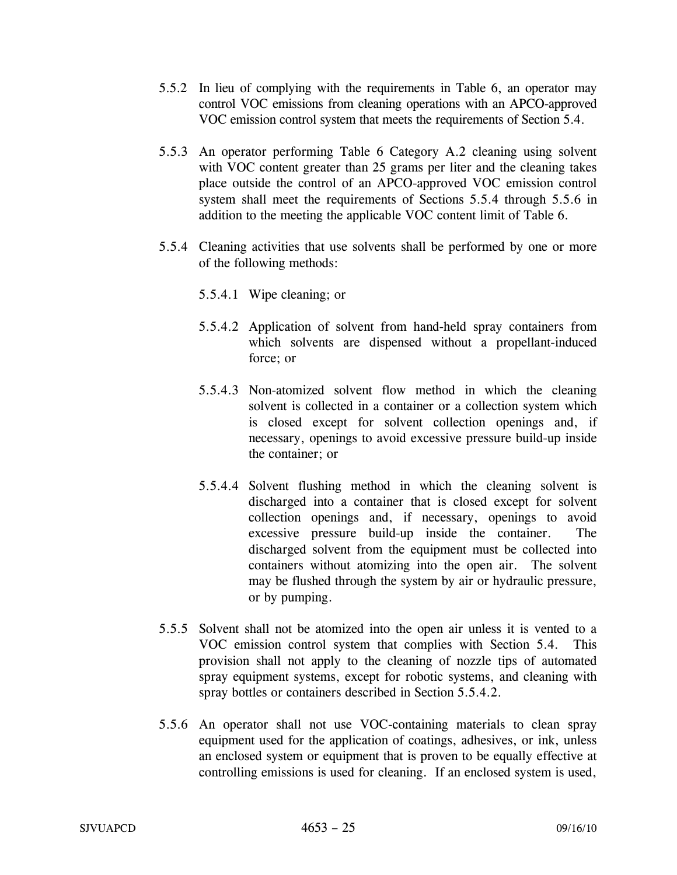- 5.5.2 In lieu of complying with the requirements in Table 6, an operator may control VOC emissions from cleaning operations with an APCO-approved VOC emission control system that meets the requirements of Section 5.4.
- 5.5.3 An operator performing Table 6 Category A.2 cleaning using solvent with VOC content greater than 25 grams per liter and the cleaning takes place outside the control of an APCO-approved VOC emission control system shall meet the requirements of Sections 5.5.4 through 5.5.6 in addition to the meeting the applicable VOC content limit of Table 6.
- 5.5.4 Cleaning activities that use solvents shall be performed by one or more of the following methods:
	- 5.5.4.1 Wipe cleaning; or
	- 5.5.4.2 Application of solvent from hand-held spray containers from which solvents are dispensed without a propellant-induced force; or
	- 5.5.4.3 Non-atomized solvent flow method in which the cleaning solvent is collected in a container or a collection system which is closed except for solvent collection openings and, if necessary, openings to avoid excessive pressure build-up inside the container; or
	- 5.5.4.4 Solvent flushing method in which the cleaning solvent is discharged into a container that is closed except for solvent collection openings and, if necessary, openings to avoid excessive pressure build-up inside the container. The discharged solvent from the equipment must be collected into containers without atomizing into the open air. The solvent may be flushed through the system by air or hydraulic pressure, or by pumping.
- 5.5.5 Solvent shall not be atomized into the open air unless it is vented to a VOC emission control system that complies with Section 5.4. This provision shall not apply to the cleaning of nozzle tips of automated spray equipment systems, except for robotic systems, and cleaning with spray bottles or containers described in Section 5.5.4.2.
- 5.5.6 An operator shall not use VOC-containing materials to clean spray equipment used for the application of coatings, adhesives, or ink, unless an enclosed system or equipment that is proven to be equally effective at controlling emissions is used for cleaning. If an enclosed system is used,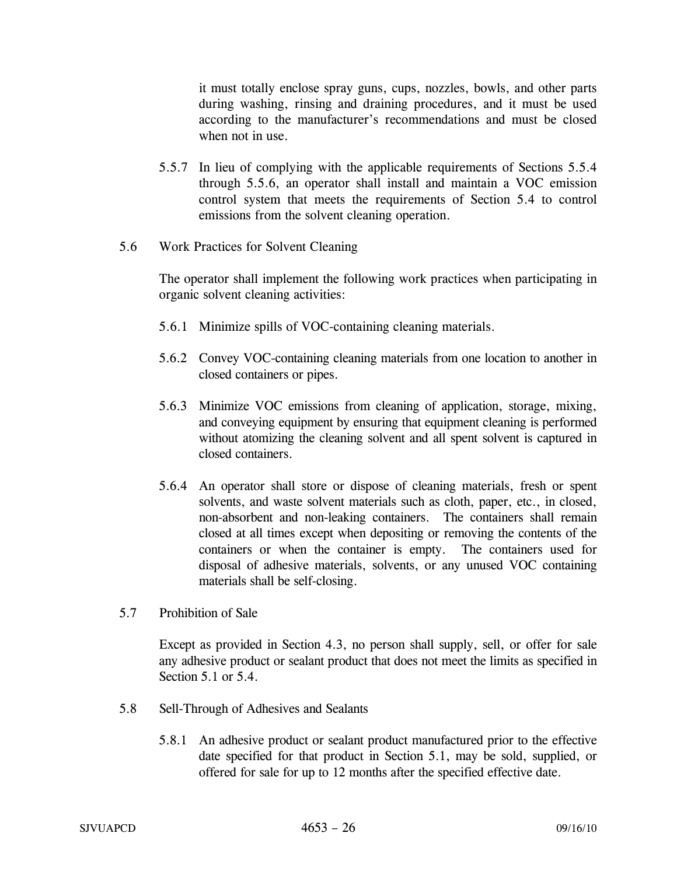it must totally enclose spray guns, cups, nozzles, bowls, and other parts during washing, rinsing and draining procedures, and it must be used according to the manufacturer's recommendations and must be closed when not in use.

- 5.5.7 In lieu of complying with the applicable requirements of Sections 5.5.4 through 5.5.6, an operator shall install and maintain a VOC emission control system that meets the requirements of Section 5.4 to control emissions from the solvent cleaning operation.
- 5.6 Work Practices for Solvent Cleaning

 The operator shall implement the following work practices when participating in organic solvent cleaning activities:

- 5.6.1 Minimize spills of VOC-containing cleaning materials.
- 5.6.2 Convey VOC-containing cleaning materials from one location to another in closed containers or pipes.
- 5.6.3 Minimize VOC emissions from cleaning of application, storage, mixing, and conveying equipment by ensuring that equipment cleaning is performed without atomizing the cleaning solvent and all spent solvent is captured in closed containers.
- 5.6.4 An operator shall store or dispose of cleaning materials, fresh or spent solvents, and waste solvent materials such as cloth, paper, etc., in closed, non-absorbent and non-leaking containers. The containers shall remain closed at all times except when depositing or removing the contents of the containers or when the container is empty. The containers used for disposal of adhesive materials, solvents, or any unused VOC containing materials shall be self-closing.
- 5.7 Prohibition of Sale

Except as provided in Section 4.3, no person shall supply, sell, or offer for sale any adhesive product or sealant product that does not meet the limits as specified in Section 5.1 or 5.4.

- 5.8 Sell-Through of Adhesives and Sealants
	- 5.8.1 An adhesive product or sealant product manufactured prior to the effective date specified for that product in Section 5.1, may be sold, supplied, or offered for sale for up to 12 months after the specified effective date.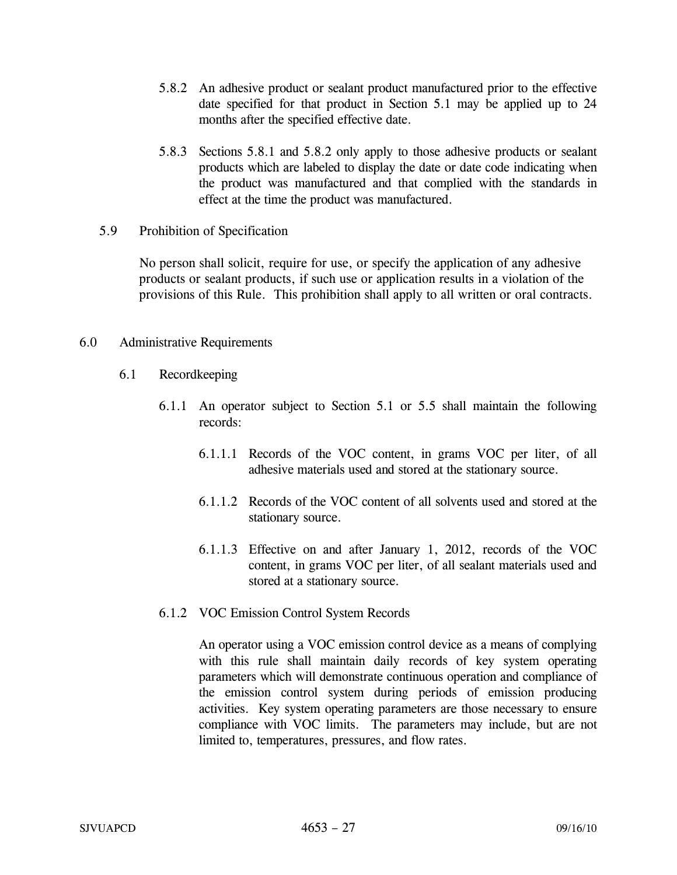- 5.8.2 An adhesive product or sealant product manufactured prior to the effective date specified for that product in Section 5.1 may be applied up to 24 months after the specified effective date.
- 5.8.3 Sections 5.8.1 and 5.8.2 only apply to those adhesive products or sealant products which are labeled to display the date or date code indicating when the product was manufactured and that complied with the standards in effect at the time the product was manufactured.
- 5.9 Prohibition of Specification

 No person shall solicit, require for use, or specify the application of any adhesive products or sealant products, if such use or application results in a violation of the provisions of this Rule. This prohibition shall apply to all written or oral contracts.

### 6.0 Administrative Requirements

- 6.1 Recordkeeping
	- 6.1.1 An operator subject to Section 5.1 or 5.5 shall maintain the following records:
		- 6.1.1.1 Records of the VOC content, in grams VOC per liter, of all adhesive materials used and stored at the stationary source.
		- 6.1.1.2 Records of the VOC content of all solvents used and stored at the stationary source.
		- 6.1.1.3 Effective on and after January 1, 2012, records of the VOC content, in grams VOC per liter, of all sealant materials used and stored at a stationary source.
	- 6.1.2 VOC Emission Control System Records

An operator using a VOC emission control device as a means of complying with this rule shall maintain daily records of key system operating parameters which will demonstrate continuous operation and compliance of the emission control system during periods of emission producing activities. Key system operating parameters are those necessary to ensure compliance with VOC limits. The parameters may include, but are not limited to, temperatures, pressures, and flow rates.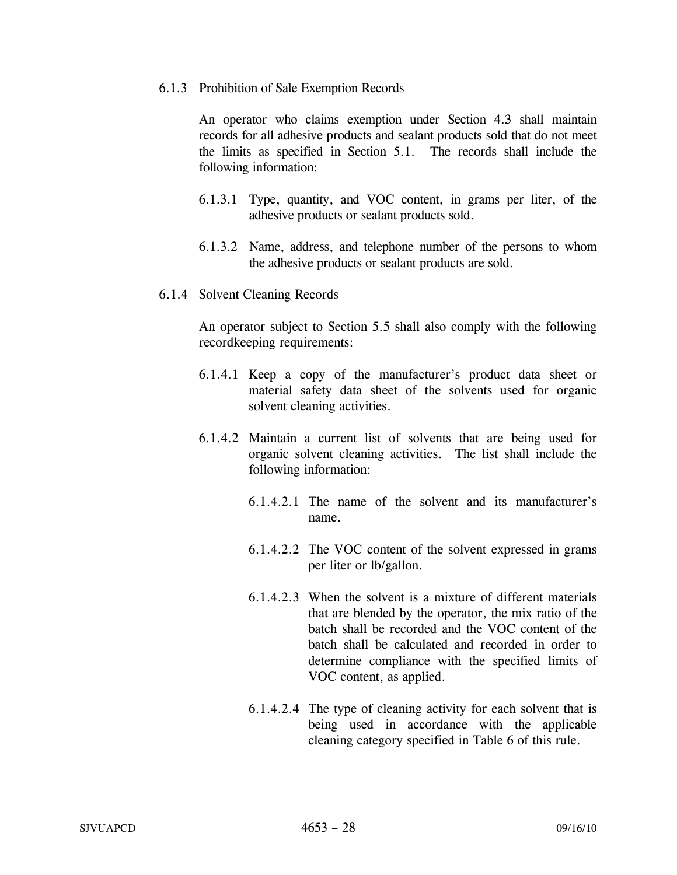#### 6.1.3 Prohibition of Sale Exemption Records

An operator who claims exemption under Section 4.3 shall maintain records for all adhesive products and sealant products sold that do not meet the limits as specified in Section 5.1. The records shall include the following information:

- 6.1.3.1 Type, quantity, and VOC content, in grams per liter, of the adhesive products or sealant products sold.
- 6.1.3.2 Name, address, and telephone number of the persons to whom the adhesive products or sealant products are sold.
- 6.1.4 Solvent Cleaning Records

An operator subject to Section 5.5 shall also comply with the following recordkeeping requirements:

- 6.1.4.1 Keep a copy of the manufacturer's product data sheet or material safety data sheet of the solvents used for organic solvent cleaning activities.
- 6.1.4.2 Maintain a current list of solvents that are being used for organic solvent cleaning activities. The list shall include the following information:
	- 6.1.4.2.1 The name of the solvent and its manufacturer's name.
	- 6.1.4.2.2 The VOC content of the solvent expressed in grams per liter or lb/gallon.
	- 6.1.4.2.3 When the solvent is a mixture of different materials that are blended by the operator, the mix ratio of the batch shall be recorded and the VOC content of the batch shall be calculated and recorded in order to determine compliance with the specified limits of VOC content, as applied.
	- 6.1.4.2.4 The type of cleaning activity for each solvent that is being used in accordance with the applicable cleaning category specified in Table 6 of this rule.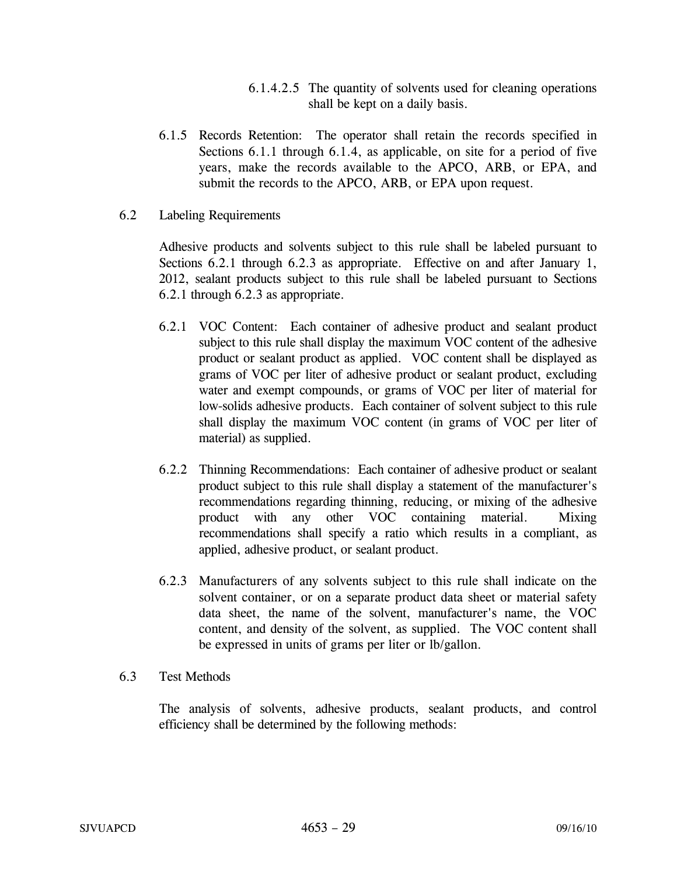- 6.1.4.2.5 The quantity of solvents used for cleaning operations shall be kept on a daily basis.
- 6.1.5 Records Retention: The operator shall retain the records specified in Sections 6.1.1 through 6.1.4, as applicable, on site for a period of five years, make the records available to the APCO, ARB, or EPA, and submit the records to the APCO, ARB, or EPA upon request.
- 6.2 Labeling Requirements

 Adhesive products and solvents subject to this rule shall be labeled pursuant to Sections 6.2.1 through 6.2.3 as appropriate. Effective on and after January 1, 2012, sealant products subject to this rule shall be labeled pursuant to Sections 6.2.1 through 6.2.3 as appropriate.

- 6.2.1 VOC Content: Each container of adhesive product and sealant product subject to this rule shall display the maximum VOC content of the adhesive product or sealant product as applied. VOC content shall be displayed as grams of VOC per liter of adhesive product or sealant product, excluding water and exempt compounds, or grams of VOC per liter of material for low-solids adhesive products. Each container of solvent subject to this rule shall display the maximum VOC content (in grams of VOC per liter of material) as supplied.
- 6.2.2 Thinning Recommendations: Each container of adhesive product or sealant product subject to this rule shall display a statement of the manufacturer's recommendations regarding thinning, reducing, or mixing of the adhesive product with any other VOC containing material. Mixing recommendations shall specify a ratio which results in a compliant, as applied, adhesive product, or sealant product.
- 6.2.3 Manufacturers of any solvents subject to this rule shall indicate on the solvent container, or on a separate product data sheet or material safety data sheet, the name of the solvent, manufacturer's name, the VOC content, and density of the solvent, as supplied. The VOC content shall be expressed in units of grams per liter or lb/gallon.

## 6.3 Test Methods

The analysis of solvents, adhesive products, sealant products, and control efficiency shall be determined by the following methods: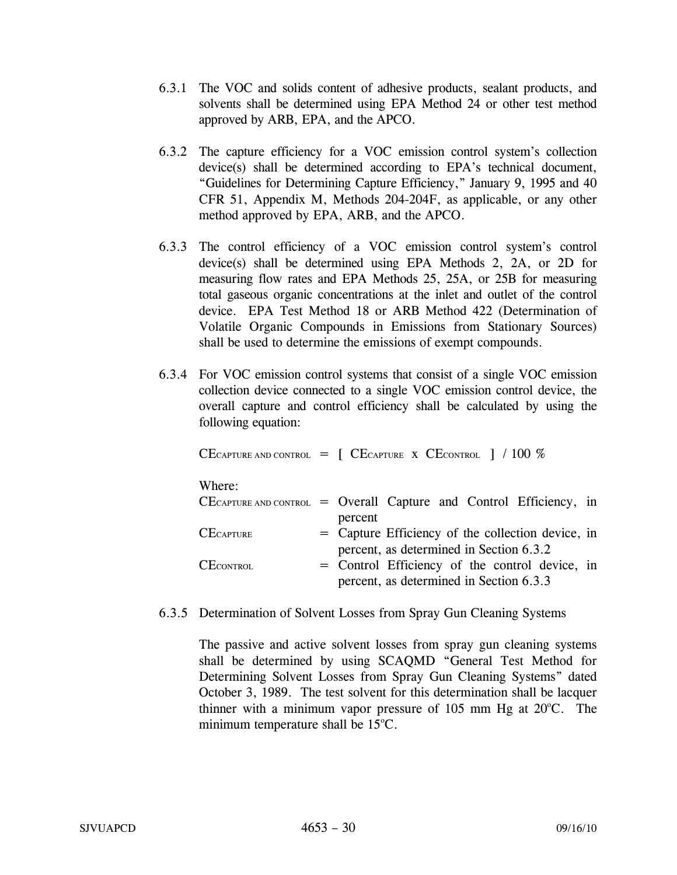- 6.3.1 The VOC and solids content of adhesive products, sealant products, and solvents shall be determined using EPA Method 24 or other test method approved by ARB, EPA, and the APCO.
- 6.3.2 The capture efficiency for a VOC emission control system's collection device(s) shall be determined according to EPA's technical document, "Guidelines for Determining Capture Efficiency," January 9, 1995 and 40 CFR 51, Appendix M, Methods 204-204F, as applicable, or any other method approved by EPA, ARB, and the APCO.
- 6.3.3 The control efficiency of a VOC emission control system's control device(s) shall be determined using EPA Methods 2, 2A, or 2D for measuring flow rates and EPA Methods 25, 25A, or 25B for measuring total gaseous organic concentrations at the inlet and outlet of the control device. EPA Test Method 18 or ARB Method 422 (Determination of Volatile Organic Compounds in Emissions from Stationary Sources) shall be used to determine the emissions of exempt compounds.
- 6.3.4 For VOC emission control systems that consist of a single VOC emission collection device connected to a single VOC emission control device, the overall capture and control efficiency shall be calculated by using the following equation:

|                  | CECAPTURE AND CONTROL $\, = \, \int \, CE$ CAPTURE X CECONTROL $\,$   / 100 %                |
|------------------|----------------------------------------------------------------------------------------------|
| Where:           |                                                                                              |
|                  | $CE$ CAPTURE AND CONTROL = Overall Capture and Control Efficiency, in<br>percent             |
| $CE$ CAPTURE     | = Capture Efficiency of the collection device, in<br>percent, as determined in Section 6.3.2 |
| <b>CECONTROL</b> | = Control Efficiency of the control device, in<br>percent, as determined in Section 6.3.3    |

6.3.5 Determination of Solvent Losses from Spray Gun Cleaning Systems

The passive and active solvent losses from spray gun cleaning systems shall be determined by using SCAQMD "General Test Method for Determining Solvent Losses from Spray Gun Cleaning Systems" dated October 3, 1989. The test solvent for this determination shall be lacquer thinner with a minimum vapor pressure of  $105$  mm Hg at  $20^{\circ}$ C. The minimum temperature shall be  $15^{\circ}$ C.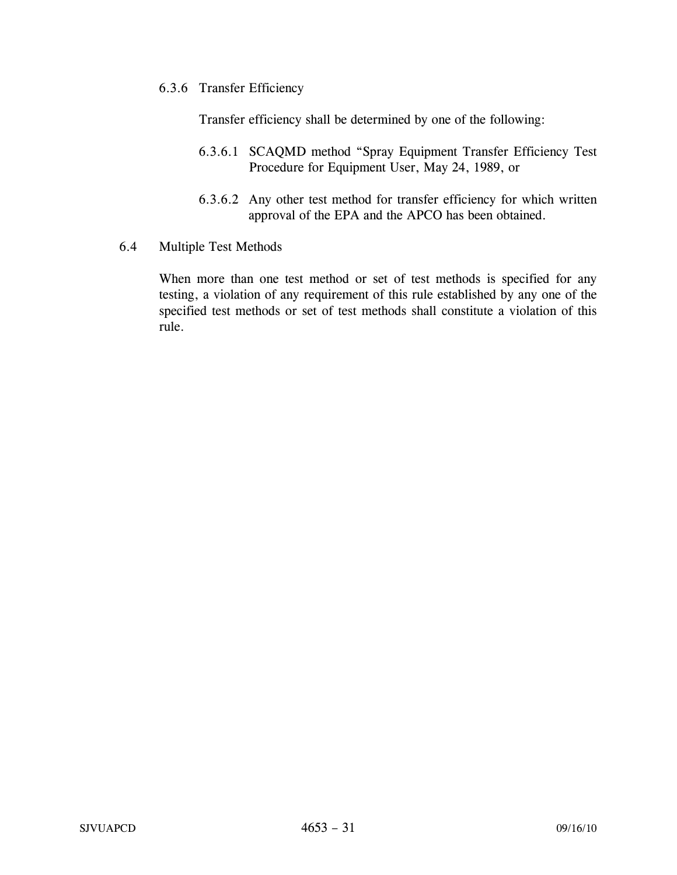6.3.6 Transfer Efficiency

Transfer efficiency shall be determined by one of the following:

- 6.3.6.1 SCAQMD method "Spray Equipment Transfer Efficiency Test Procedure for Equipment User, May 24, 1989, or
- 6.3.6.2 Any other test method for transfer efficiency for which written approval of the EPA and the APCO has been obtained.
- 6.4 Multiple Test Methods

When more than one test method or set of test methods is specified for any testing, a violation of any requirement of this rule established by any one of the specified test methods or set of test methods shall constitute a violation of this rule.